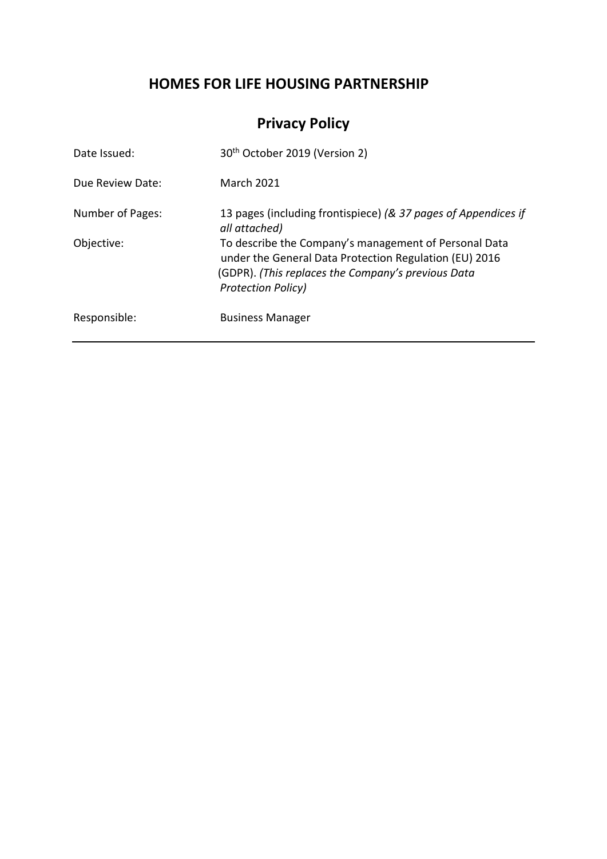# **HOMES FOR LIFE HOUSING PARTNERSHIP**

# **Privacy Policy**

| Date Issued:     | 30 <sup>th</sup> October 2019 (Version 2)                                                                                                                                                          |
|------------------|----------------------------------------------------------------------------------------------------------------------------------------------------------------------------------------------------|
| Due Review Date: | <b>March 2021</b>                                                                                                                                                                                  |
| Number of Pages: | 13 pages (including frontispiece) (& 37 pages of Appendices if<br>all attached)                                                                                                                    |
| Objective:       | To describe the Company's management of Personal Data<br>under the General Data Protection Regulation (EU) 2016<br>(GDPR). (This replaces the Company's previous Data<br><b>Protection Policy)</b> |
| Responsible:     | <b>Business Manager</b>                                                                                                                                                                            |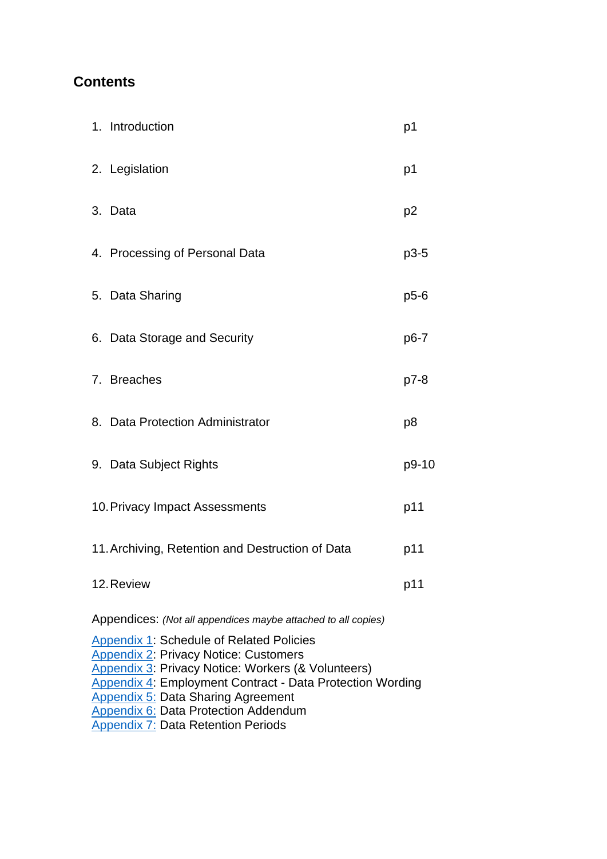# **Contents**

| 1. Introduction                                               | p1             |
|---------------------------------------------------------------|----------------|
| 2. Legislation                                                | p1             |
| 3. Data                                                       | p <sub>2</sub> |
| 4. Processing of Personal Data                                | $p3-5$         |
| 5. Data Sharing                                               | $p5-6$         |
| 6. Data Storage and Security                                  | p6-7           |
| 7. Breaches                                                   | p7-8           |
| 8. Data Protection Administrator                              | p8             |
| 9. Data Subject Rights                                        | p9-10          |
| 10. Privacy Impact Assessments                                | p11            |
| 11. Archiving, Retention and Destruction of Data              | p11            |
| 12. Review                                                    | p11            |
| Appendices: (Not all appendices maybe attached to all copies) |                |

[Appendix 1:](#page-13-0) Schedule of Related Policies [Appendix 2:](#page-14-0) Privacy Notice: Customers [Appendix 3:](#page-18-0) Privacy Notice: Workers (& Volunteers) [Appendix 4:](#page-22-0) Employment Contract - Data Protection Wording **[Appendix 5:](#page-23-0) Data Sharing Agreement [Appendix 6:](#page-38-0) Data Protection Addendum** [Appendix 7:](#page-48-0) Data Retention Periods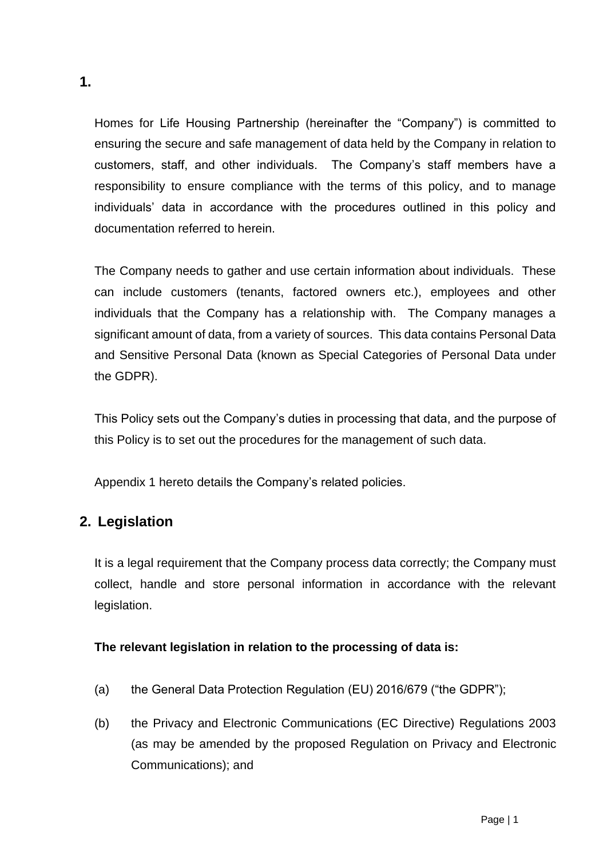Homes for Life Housing Partnership (hereinafter the "Company") is committed to ensuring the secure and safe management of data held by the Company in relation to customers, staff, and other individuals. The Company's staff members have a responsibility to ensure compliance with the terms of this policy, and to manage individuals' data in accordance with the procedures outlined in this policy and documentation referred to herein.

The Company needs to gather and use certain information about individuals. These can include customers (tenants, factored owners etc.), employees and other individuals that the Company has a relationship with. The Company manages a significant amount of data, from a variety of sources. This data contains Personal Data and Sensitive Personal Data (known as Special Categories of Personal Data under the GDPR).

This Policy sets out the Company's duties in processing that data, and the purpose of this Policy is to set out the procedures for the management of such data.

Appendix 1 hereto details the Company's related policies.

# **2. Legislation**

It is a legal requirement that the Company process data correctly; the Company must collect, handle and store personal information in accordance with the relevant legislation.

## **The relevant legislation in relation to the processing of data is:**

- (a) the General Data Protection Regulation (EU) 2016/679 ("the GDPR");
- (b) the Privacy and Electronic Communications (EC Directive) Regulations 2003 (as may be amended by the proposed Regulation on Privacy and Electronic Communications); and

**1.**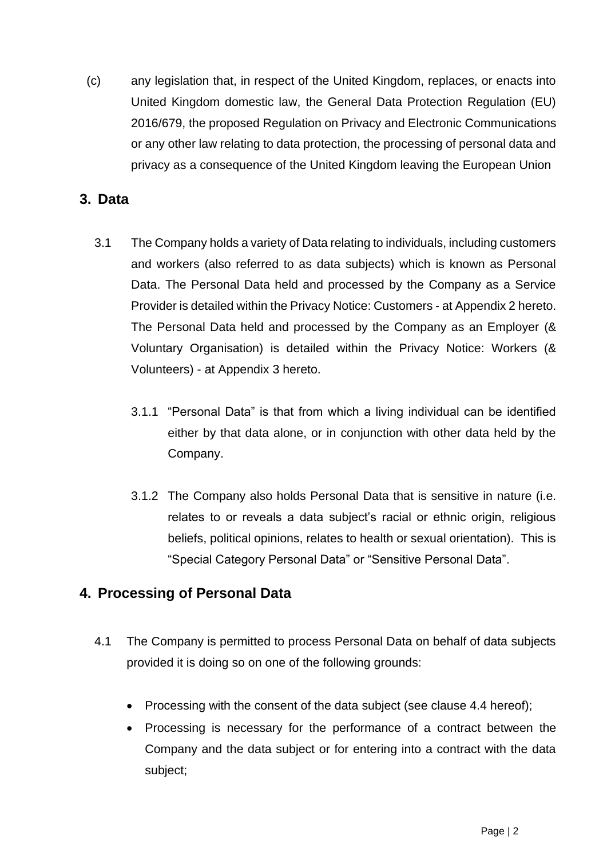(c) any legislation that, in respect of the United Kingdom, replaces, or enacts into United Kingdom domestic law, the General Data Protection Regulation (EU) 2016/679, the proposed Regulation on Privacy and Electronic Communications or any other law relating to data protection, the processing of personal data and privacy as a consequence of the United Kingdom leaving the European Union

# **3. Data**

- 3.1 The Company holds a variety of Data relating to individuals, including customers and workers (also referred to as data subjects) which is known as Personal Data. The Personal Data held and processed by the Company as a Service Provider is detailed within the Privacy Notice: Customers - at Appendix 2 hereto. The Personal Data held and processed by the Company as an Employer (& Voluntary Organisation) is detailed within the Privacy Notice: Workers (& Volunteers) - at Appendix 3 hereto.
	- 3.1.1 "Personal Data" is that from which a living individual can be identified either by that data alone, or in conjunction with other data held by the Company.
	- 3.1.2 The Company also holds Personal Data that is sensitive in nature (i.e. relates to or reveals a data subject's racial or ethnic origin, religious beliefs, political opinions, relates to health or sexual orientation). This is "Special Category Personal Data" or "Sensitive Personal Data".

# **4. Processing of Personal Data**

- 4.1 The Company is permitted to process Personal Data on behalf of data subjects provided it is doing so on one of the following grounds:
	- Processing with the consent of the data subject (see clause 4.4 hereof);
	- Processing is necessary for the performance of a contract between the Company and the data subject or for entering into a contract with the data subject;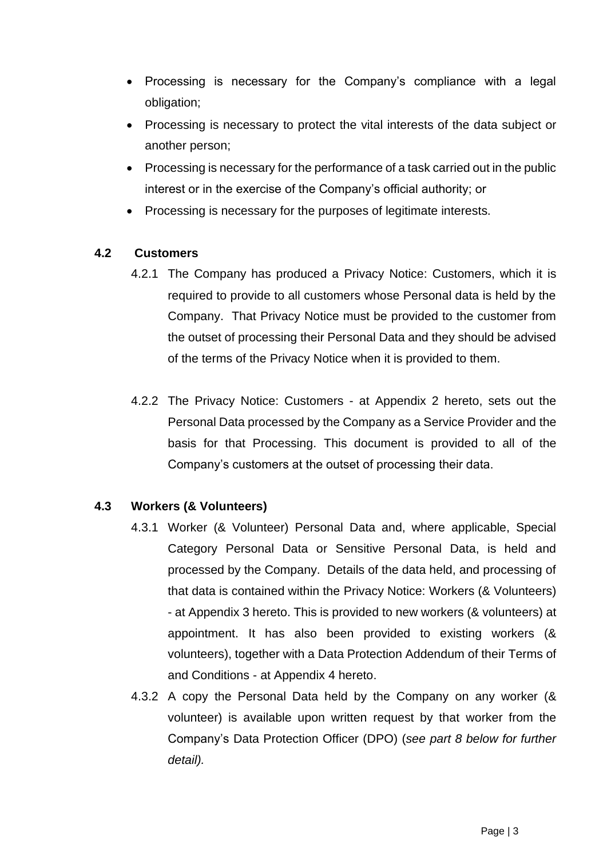- Processing is necessary for the Company's compliance with a legal obligation;
- Processing is necessary to protect the vital interests of the data subject or another person;
- Processing is necessary for the performance of a task carried out in the public interest or in the exercise of the Company's official authority; or
- Processing is necessary for the purposes of legitimate interests.

## **4.2 Customers**

- 4.2.1 The Company has produced a Privacy Notice: Customers, which it is required to provide to all customers whose Personal data is held by the Company. That Privacy Notice must be provided to the customer from the outset of processing their Personal Data and they should be advised of the terms of the Privacy Notice when it is provided to them.
- 4.2.2 The Privacy Notice: Customers at Appendix 2 hereto, sets out the Personal Data processed by the Company as a Service Provider and the basis for that Processing. This document is provided to all of the Company's customers at the outset of processing their data.

## **4.3 Workers (& Volunteers)**

- 4.3.1 Worker (& Volunteer) Personal Data and, where applicable, Special Category Personal Data or Sensitive Personal Data, is held and processed by the Company. Details of the data held, and processing of that data is contained within the Privacy Notice: Workers (& Volunteers) - at Appendix 3 hereto. This is provided to new workers (& volunteers) at appointment. It has also been provided to existing workers (& volunteers), together with a Data Protection Addendum of their Terms of and Conditions - at Appendix 4 hereto.
- 4.3.2 A copy the Personal Data held by the Company on any worker (& volunteer) is available upon written request by that worker from the Company's Data Protection Officer (DPO) (*see part 8 below for further detail).*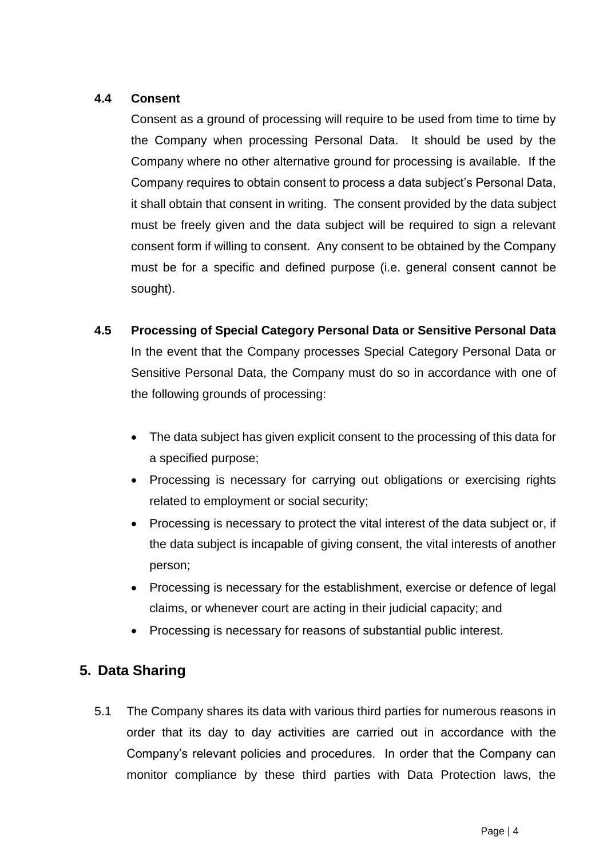## **4.4 Consent**

Consent as a ground of processing will require to be used from time to time by the Company when processing Personal Data. It should be used by the Company where no other alternative ground for processing is available. If the Company requires to obtain consent to process a data subject's Personal Data, it shall obtain that consent in writing. The consent provided by the data subject must be freely given and the data subject will be required to sign a relevant consent form if willing to consent. Any consent to be obtained by the Company must be for a specific and defined purpose (i.e. general consent cannot be sought).

**4.5 Processing of Special Category Personal Data or Sensitive Personal Data**

In the event that the Company processes Special Category Personal Data or Sensitive Personal Data, the Company must do so in accordance with one of the following grounds of processing:

- The data subject has given explicit consent to the processing of this data for a specified purpose;
- Processing is necessary for carrying out obligations or exercising rights related to employment or social security;
- Processing is necessary to protect the vital interest of the data subject or, if the data subject is incapable of giving consent, the vital interests of another person;
- Processing is necessary for the establishment, exercise or defence of legal claims, or whenever court are acting in their judicial capacity; and
- Processing is necessary for reasons of substantial public interest.

# **5. Data Sharing**

5.1 The Company shares its data with various third parties for numerous reasons in order that its day to day activities are carried out in accordance with the Company's relevant policies and procedures. In order that the Company can monitor compliance by these third parties with Data Protection laws, the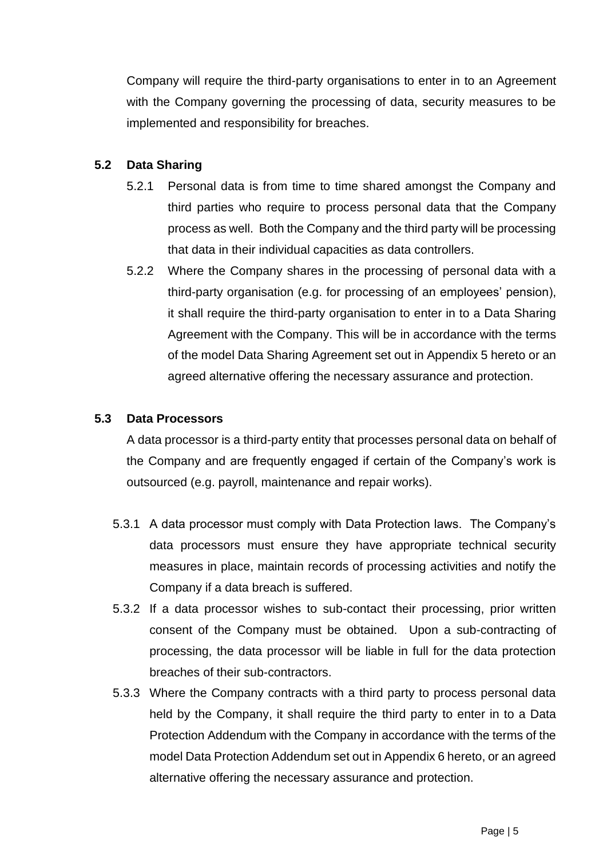Company will require the third-party organisations to enter in to an Agreement with the Company governing the processing of data, security measures to be implemented and responsibility for breaches.

## **5.2 Data Sharing**

- 5.2.1 Personal data is from time to time shared amongst the Company and third parties who require to process personal data that the Company process as well. Both the Company and the third party will be processing that data in their individual capacities as data controllers.
- 5.2.2 Where the Company shares in the processing of personal data with a third-party organisation (e.g. for processing of an employees' pension), it shall require the third-party organisation to enter in to a Data Sharing Agreement with the Company. This will be in accordance with the terms of the model Data Sharing Agreement set out in Appendix 5 hereto or an agreed alternative offering the necessary assurance and protection.

## **5.3 Data Processors**

A data processor is a third-party entity that processes personal data on behalf of the Company and are frequently engaged if certain of the Company's work is outsourced (e.g. payroll, maintenance and repair works).

- 5.3.1 A data processor must comply with Data Protection laws. The Company's data processors must ensure they have appropriate technical security measures in place, maintain records of processing activities and notify the Company if a data breach is suffered.
- 5.3.2 If a data processor wishes to sub-contact their processing, prior written consent of the Company must be obtained. Upon a sub-contracting of processing, the data processor will be liable in full for the data protection breaches of their sub-contractors.
- 5.3.3 Where the Company contracts with a third party to process personal data held by the Company, it shall require the third party to enter in to a Data Protection Addendum with the Company in accordance with the terms of the model Data Protection Addendum set out in Appendix 6 hereto, or an agreed alternative offering the necessary assurance and protection.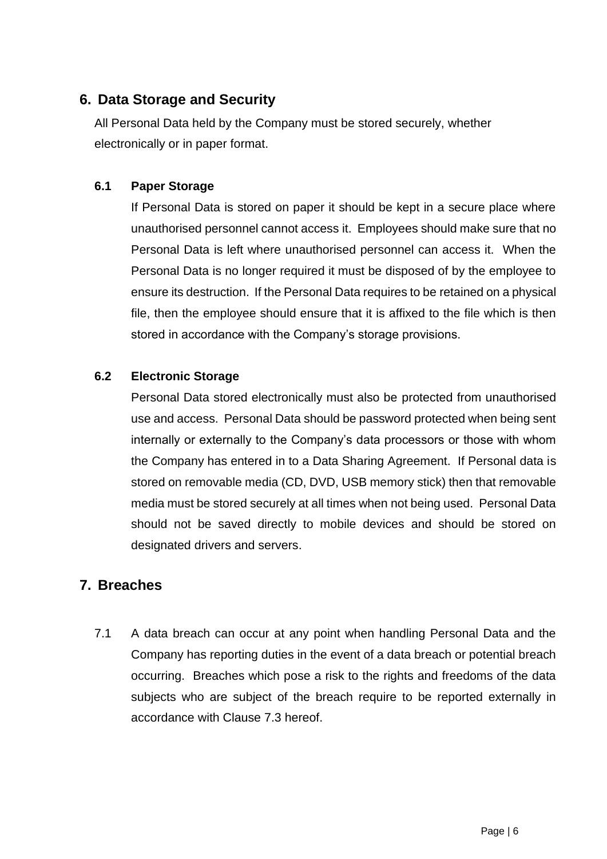# **6. Data Storage and Security**

All Personal Data held by the Company must be stored securely, whether electronically or in paper format.

## **6.1 Paper Storage**

If Personal Data is stored on paper it should be kept in a secure place where unauthorised personnel cannot access it. Employees should make sure that no Personal Data is left where unauthorised personnel can access it. When the Personal Data is no longer required it must be disposed of by the employee to ensure its destruction. If the Personal Data requires to be retained on a physical file, then the employee should ensure that it is affixed to the file which is then stored in accordance with the Company's storage provisions.

# **6.2 Electronic Storage**

Personal Data stored electronically must also be protected from unauthorised use and access. Personal Data should be password protected when being sent internally or externally to the Company's data processors or those with whom the Company has entered in to a Data Sharing Agreement. If Personal data is stored on removable media (CD, DVD, USB memory stick) then that removable media must be stored securely at all times when not being used. Personal Data should not be saved directly to mobile devices and should be stored on designated drivers and servers.

# **7. Breaches**

7.1 A data breach can occur at any point when handling Personal Data and the Company has reporting duties in the event of a data breach or potential breach occurring. Breaches which pose a risk to the rights and freedoms of the data subjects who are subject of the breach require to be reported externally in accordance with Clause 7.3 hereof.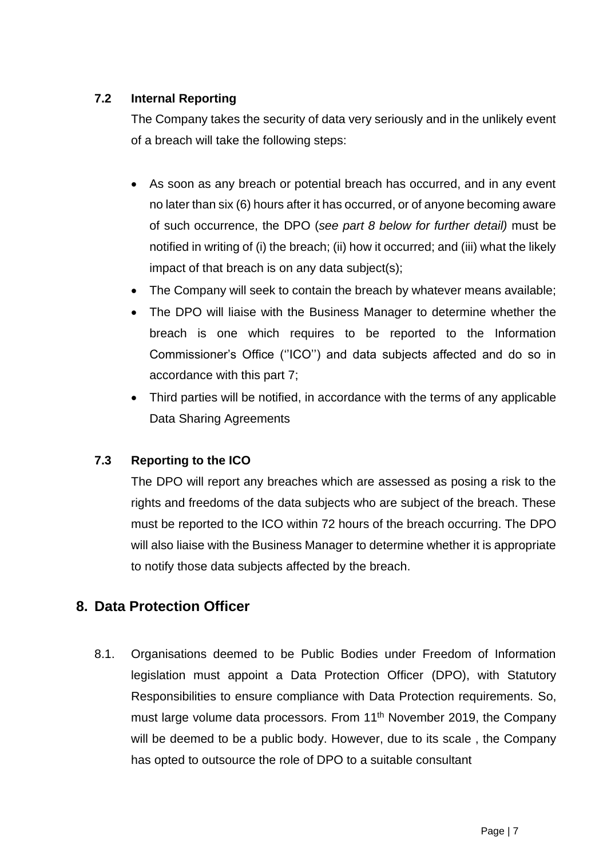# **7.2 Internal Reporting**

The Company takes the security of data very seriously and in the unlikely event of a breach will take the following steps:

- As soon as any breach or potential breach has occurred, and in any event no later than six (6) hours after it has occurred, or of anyone becoming aware of such occurrence, the DPO (*see part 8 below for further detail)* must be notified in writing of (i) the breach; (ii) how it occurred; and (iii) what the likely impact of that breach is on any data subject(s);
- The Company will seek to contain the breach by whatever means available;
- The DPO will liaise with the Business Manager to determine whether the breach is one which requires to be reported to the Information Commissioner's Office (''ICO'') and data subjects affected and do so in accordance with this part 7;
- Third parties will be notified, in accordance with the terms of any applicable Data Sharing Agreements

# **7.3 Reporting to the ICO**

The DPO will report any breaches which are assessed as posing a risk to the rights and freedoms of the data subjects who are subject of the breach. These must be reported to the ICO within 72 hours of the breach occurring. The DPO will also liaise with the Business Manager to determine whether it is appropriate to notify those data subjects affected by the breach.

# **8. Data Protection Officer**

8.1. Organisations deemed to be Public Bodies under Freedom of Information legislation must appoint a Data Protection Officer (DPO), with Statutory Responsibilities to ensure compliance with Data Protection requirements. So, must large volume data processors. From 11<sup>th</sup> November 2019, the Company will be deemed to be a public body. However, due to its scale , the Company has opted to outsource the role of DPO to a suitable consultant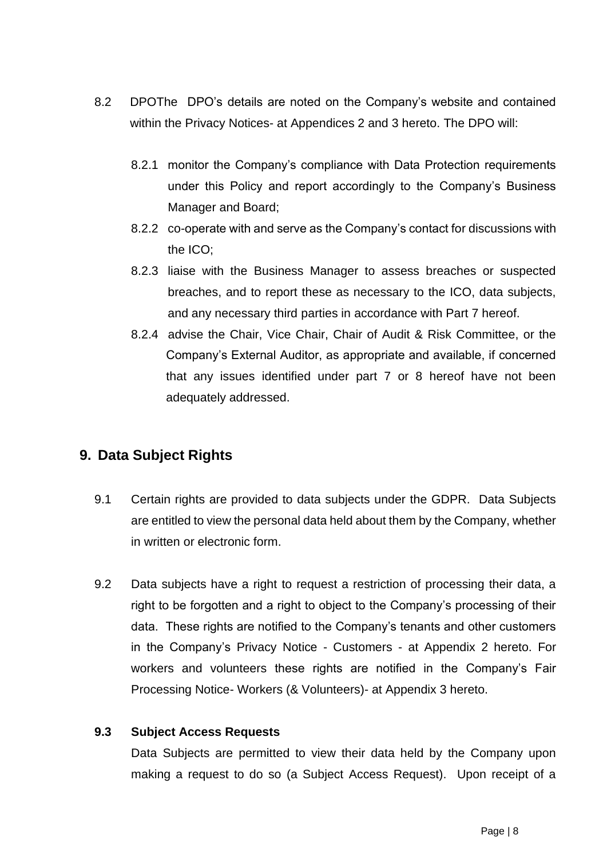- 8.2 DPOThe DPO's details are noted on the Company's website and contained within the Privacy Notices- at Appendices 2 and 3 hereto. The DPO will:
	- 8.2.1 monitor the Company's compliance with Data Protection requirements under this Policy and report accordingly to the Company's Business Manager and Board;
	- 8.2.2 co-operate with and serve as the Company's contact for discussions with the ICO;
	- 8.2.3 liaise with the Business Manager to assess breaches or suspected breaches, and to report these as necessary to the ICO, data subjects, and any necessary third parties in accordance with Part 7 hereof.
	- 8.2.4 advise the Chair, Vice Chair, Chair of Audit & Risk Committee, or the Company's External Auditor, as appropriate and available, if concerned that any issues identified under part 7 or 8 hereof have not been adequately addressed.

# **9. Data Subject Rights**

- 9.1 Certain rights are provided to data subjects under the GDPR. Data Subjects are entitled to view the personal data held about them by the Company, whether in written or electronic form.
- 9.2 Data subjects have a right to request a restriction of processing their data, a right to be forgotten and a right to object to the Company's processing of their data. These rights are notified to the Company's tenants and other customers in the Company's Privacy Notice - Customers - at Appendix 2 hereto. For workers and volunteers these rights are notified in the Company's Fair Processing Notice- Workers (& Volunteers)- at Appendix 3 hereto.

## **9.3 Subject Access Requests**

Data Subjects are permitted to view their data held by the Company upon making a request to do so (a Subject Access Request). Upon receipt of a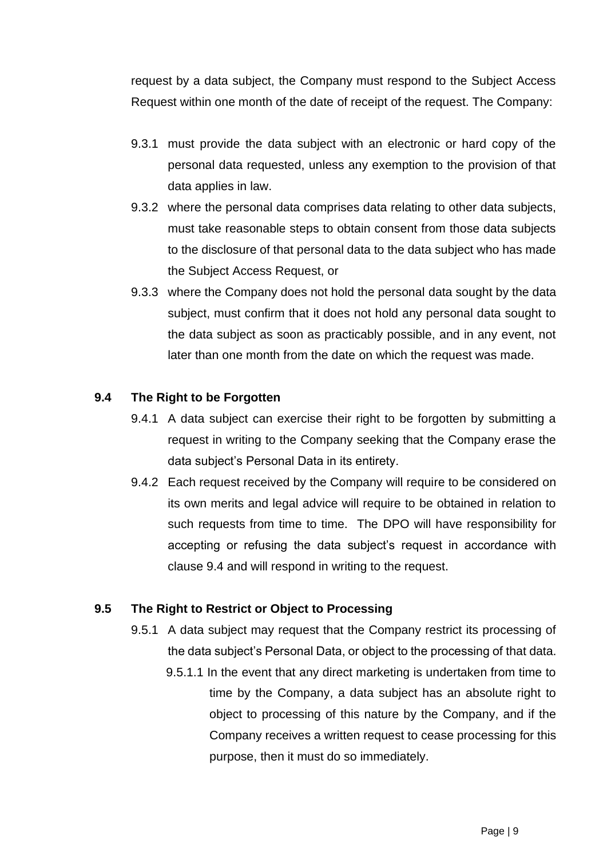request by a data subject, the Company must respond to the Subject Access Request within one month of the date of receipt of the request. The Company:

- 9.3.1 must provide the data subject with an electronic or hard copy of the personal data requested, unless any exemption to the provision of that data applies in law.
- 9.3.2 where the personal data comprises data relating to other data subjects, must take reasonable steps to obtain consent from those data subjects to the disclosure of that personal data to the data subject who has made the Subject Access Request, or
- 9.3.3 where the Company does not hold the personal data sought by the data subject, must confirm that it does not hold any personal data sought to the data subject as soon as practicably possible, and in any event, not later than one month from the date on which the request was made.

## **9.4 The Right to be Forgotten**

- 9.4.1 A data subject can exercise their right to be forgotten by submitting a request in writing to the Company seeking that the Company erase the data subject's Personal Data in its entirety.
- 9.4.2 Each request received by the Company will require to be considered on its own merits and legal advice will require to be obtained in relation to such requests from time to time. The DPO will have responsibility for accepting or refusing the data subject's request in accordance with clause 9.4 and will respond in writing to the request.

## **9.5 The Right to Restrict or Object to Processing**

- 9.5.1 A data subject may request that the Company restrict its processing of the data subject's Personal Data, or object to the processing of that data.
	- 9.5.1.1 In the event that any direct marketing is undertaken from time to time by the Company, a data subject has an absolute right to object to processing of this nature by the Company, and if the Company receives a written request to cease processing for this purpose, then it must do so immediately.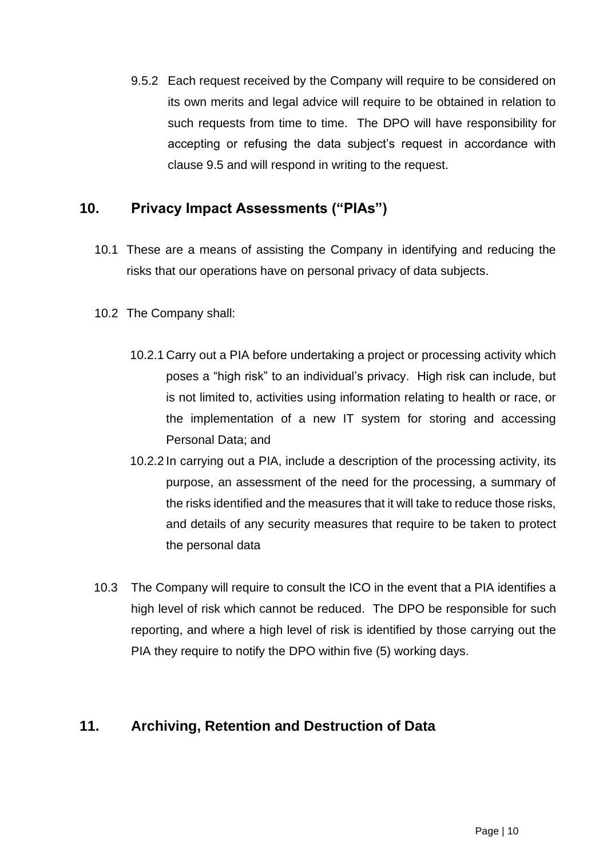9.5.2 Each request received by the Company will require to be considered on its own merits and legal advice will require to be obtained in relation to such requests from time to time. The DPO will have responsibility for accepting or refusing the data subject's request in accordance with clause 9.5 and will respond in writing to the request.

# **10. Privacy Impact Assessments ("PIAs")**

- 10.1 These are a means of assisting the Company in identifying and reducing the risks that our operations have on personal privacy of data subjects.
- 10.2 The Company shall:
	- 10.2.1 Carry out a PIA before undertaking a project or processing activity which poses a "high risk" to an individual's privacy. High risk can include, but is not limited to, activities using information relating to health or race, or the implementation of a new IT system for storing and accessing Personal Data; and
	- 10.2.2 In carrying out a PIA, include a description of the processing activity, its purpose, an assessment of the need for the processing, a summary of the risks identified and the measures that it will take to reduce those risks, and details of any security measures that require to be taken to protect the personal data
- 10.3 The Company will require to consult the ICO in the event that a PIA identifies a high level of risk which cannot be reduced. The DPO be responsible for such reporting, and where a high level of risk is identified by those carrying out the PIA they require to notify the DPO within five (5) working days.

# **11. Archiving, Retention and Destruction of Data**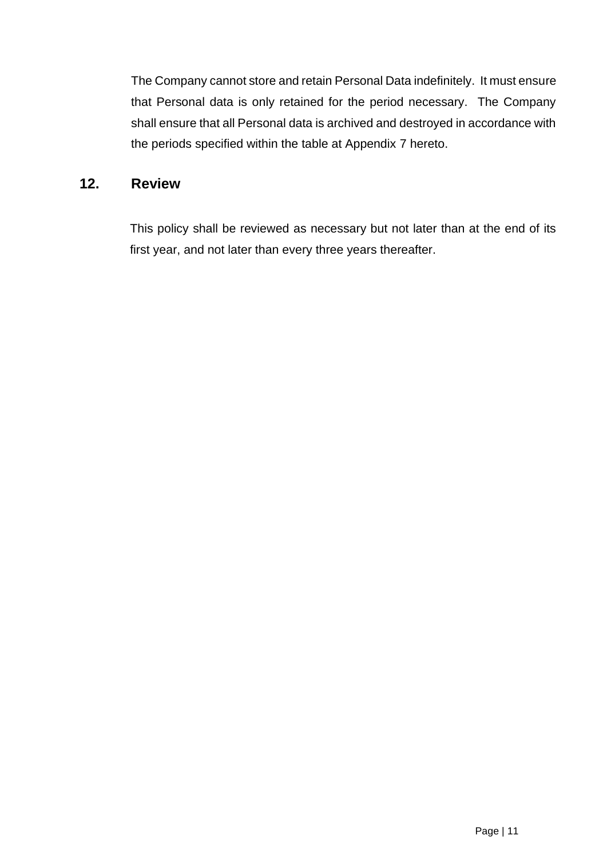The Company cannot store and retain Personal Data indefinitely. It must ensure that Personal data is only retained for the period necessary. The Company shall ensure that all Personal data is archived and destroyed in accordance with the periods specified within the table at Appendix 7 hereto.

# **12. Review**

This policy shall be reviewed as necessary but not later than at the end of its first year, and not later than every three years thereafter.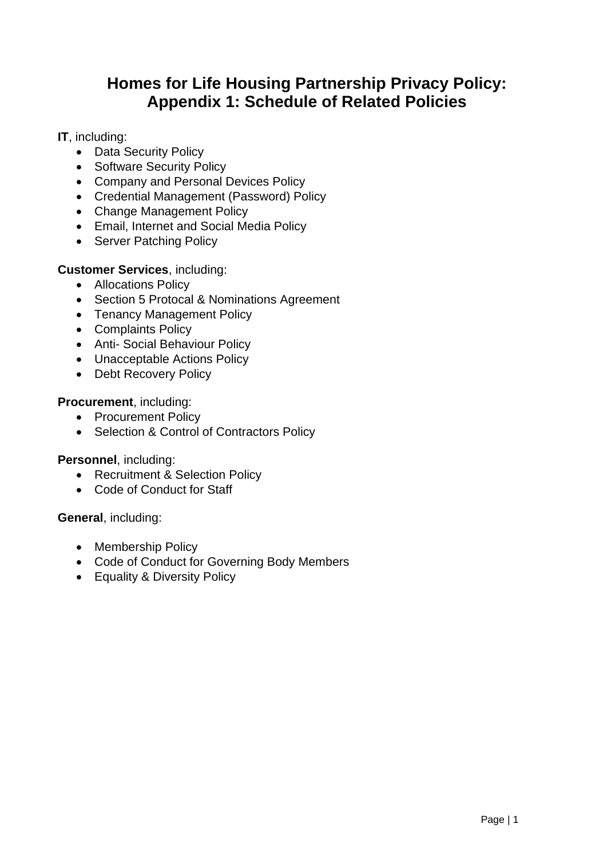# **Homes for Life Housing Partnership Privacy Policy: Appendix 1: Schedule of Related Policies**

## <span id="page-13-0"></span>**IT**, including:

- Data Security Policy
- Software Security Policy
- Company and Personal Devices Policy
- Credential Management (Password) Policy
- Change Management Policy
- Email, Internet and Social Media Policy
- Server Patching Policy

## **Customer Services**, including:

- Allocations Policy
- Section 5 Protocal & Nominations Agreement
- Tenancy Management Policy
- Complaints Policy
- Anti- Social Behaviour Policy
- Unacceptable Actions Policy
- Debt Recovery Policy

## **Procurement**, including:

- Procurement Policy
- Selection & Control of Contractors Policy

## **Personnel**, including:

- Recruitment & Selection Policy
- Code of Conduct for Staff

**General**, including:

- Membership Policy
- Code of Conduct for Governing Body Members
- Equality & Diversity Policy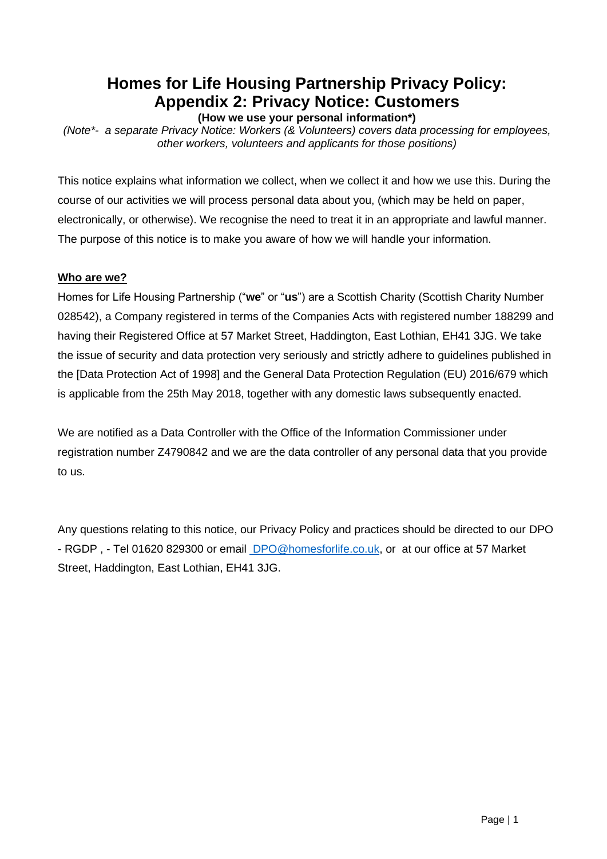# **Homes for Life Housing Partnership Privacy Policy: Appendix 2: Privacy Notice: Customers**

**(How we use your personal information\*)**

<span id="page-14-0"></span>*(Note\*- a separate Privacy Notice: Workers (& Volunteers) covers data processing for employees, other workers, volunteers and applicants for those positions)*

This notice explains what information we collect, when we collect it and how we use this. During the course of our activities we will process personal data about you, (which may be held on paper, electronically, or otherwise). We recognise the need to treat it in an appropriate and lawful manner. The purpose of this notice is to make you aware of how we will handle your information.

#### **Who are we?**

Homes for Life Housing Partnership ("**we**" or "**us**") are a Scottish Charity (Scottish Charity Number 028542), a Company registered in terms of the Companies Acts with registered number 188299 and having their Registered Office at 57 Market Street, Haddington, East Lothian, EH41 3JG. We take the issue of security and data protection very seriously and strictly adhere to guidelines published in the [Data Protection Act of 1998] and the General Data Protection Regulation (EU) 2016/679 which is applicable from the 25th May 2018, together with any domestic laws subsequently enacted.

We are notified as a Data Controller with the Office of the Information Commissioner under registration number Z4790842 and we are the data controller of any personal data that you provide to us.

Any questions relating to this notice, our Privacy Policy and practices should be directed to our DPO - RGDP , - Tel 01620 829300 or email [DPO@homesforlife.co.uk,](mailto:DPO@homesforlife.co.uk) or at our office at 57 Market Street, Haddington, East Lothian, EH41 3JG.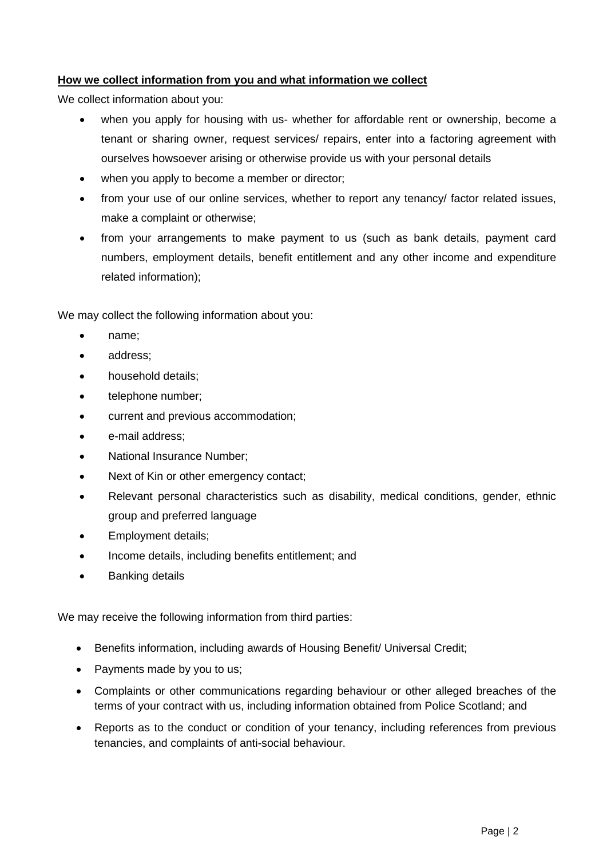#### **How we collect information from you and what information we collect**

We collect information about you:

- when you apply for housing with us- whether for affordable rent or ownership, become a tenant or sharing owner, request services/ repairs, enter into a factoring agreement with ourselves howsoever arising or otherwise provide us with your personal details
- when you apply to become a member or director:
- from your use of our online services, whether to report any tenancy/ factor related issues, make a complaint or otherwise;
- from your arrangements to make payment to us (such as bank details, payment card numbers, employment details, benefit entitlement and any other income and expenditure related information);

We may collect the following information about you:

- name;
- address:
- household details:
- telephone number;
- current and previous accommodation;
- e-mail address;
- National Insurance Number;
- Next of Kin or other emergency contact;
- Relevant personal characteristics such as disability, medical conditions, gender, ethnic group and preferred language
- Employment details;
- Income details, including benefits entitlement; and
- **Banking details**

We may receive the following information from third parties:

- Benefits information, including awards of Housing Benefit/ Universal Credit;
- Payments made by you to us:
- Complaints or other communications regarding behaviour or other alleged breaches of the terms of your contract with us, including information obtained from Police Scotland; and
- Reports as to the conduct or condition of your tenancy, including references from previous tenancies, and complaints of anti-social behaviour.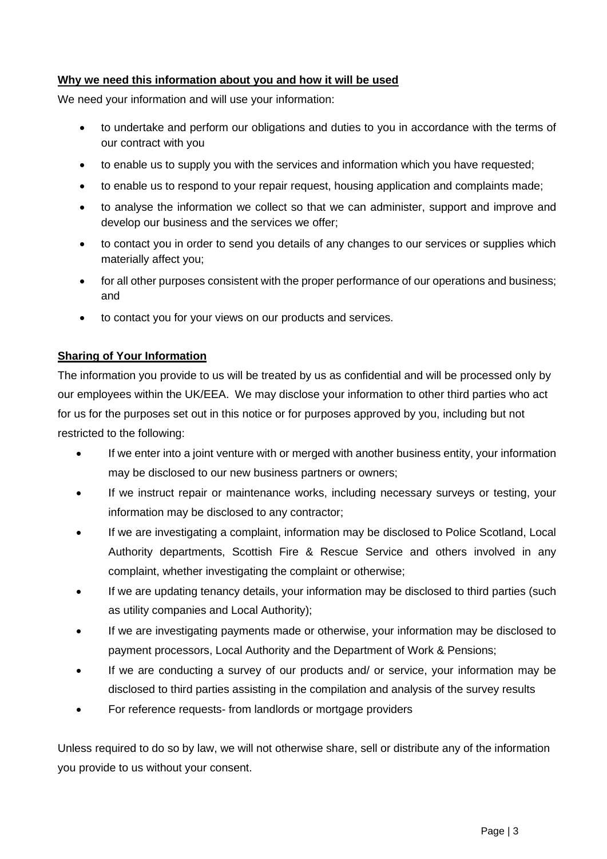#### **Why we need this information about you and how it will be used**

We need your information and will use your information:

- to undertake and perform our obligations and duties to you in accordance with the terms of our contract with you
- to enable us to supply you with the services and information which you have requested;
- to enable us to respond to your repair request, housing application and complaints made;
- to analyse the information we collect so that we can administer, support and improve and develop our business and the services we offer;
- to contact you in order to send you details of any changes to our services or supplies which materially affect you;
- for all other purposes consistent with the proper performance of our operations and business; and
- to contact you for your views on our products and services.

#### **Sharing of Your Information**

The information you provide to us will be treated by us as confidential and will be processed only by our employees within the UK/EEA. We may disclose your information to other third parties who act for us for the purposes set out in this notice or for purposes approved by you, including but not restricted to the following:

- If we enter into a joint venture with or merged with another business entity, your information may be disclosed to our new business partners or owners;
- If we instruct repair or maintenance works, including necessary surveys or testing, your information may be disclosed to any contractor;
- If we are investigating a complaint, information may be disclosed to Police Scotland, Local Authority departments, Scottish Fire & Rescue Service and others involved in any complaint, whether investigating the complaint or otherwise;
- If we are updating tenancy details, your information may be disclosed to third parties (such as utility companies and Local Authority);
- If we are investigating payments made or otherwise, your information may be disclosed to payment processors, Local Authority and the Department of Work & Pensions;
- If we are conducting a survey of our products and/ or service, your information may be disclosed to third parties assisting in the compilation and analysis of the survey results
- For reference requests- from landlords or mortgage providers

Unless required to do so by law, we will not otherwise share, sell or distribute any of the information you provide to us without your consent.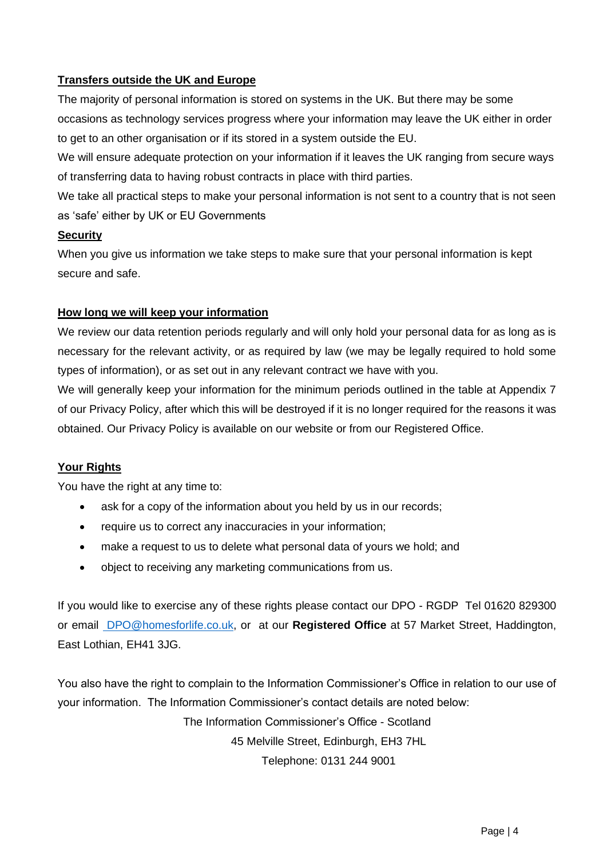#### **Transfers outside the UK and Europe**

The majority of personal information is stored on systems in the UK. But there may be some occasions as technology services progress where your information may leave the UK either in order to get to an other organisation or if its stored in a system outside the EU.

We will ensure adequate protection on your information if it leaves the UK ranging from secure ways of transferring data to having robust contracts in place with third parties.

We take all practical steps to make your personal information is not sent to a country that is not seen as 'safe' either by UK or EU Governments

#### **Security**

When you give us information we take steps to make sure that your personal information is kept secure and safe.

#### **How long we will keep your information**

We review our data retention periods regularly and will only hold your personal data for as long as is necessary for the relevant activity, or as required by law (we may be legally required to hold some types of information), or as set out in any relevant contract we have with you.

We will generally keep your information for the minimum periods outlined in the table at Appendix 7 of our Privacy Policy, after which this will be destroyed if it is no longer required for the reasons it was obtained. Our Privacy Policy is available on our website or from our Registered Office.

## **Your Rights**

You have the right at any time to:

- ask for a copy of the information about you held by us in our records;
- require us to correct any inaccuracies in your information;
- make a request to us to delete what personal data of yours we hold; and
- object to receiving any marketing communications from us.

If you would like to exercise any of these rights please contact our DPO - RGDP Tel 01620 829300 or email [DPO@homesforlife.co.uk,](mailto:DPO@homesforlife.co.uk) or at our **Registered Office** at 57 Market Street, Haddington, East Lothian, EH41 3JG.

You also have the right to complain to the Information Commissioner's Office in relation to our use of your information. The Information Commissioner's contact details are noted below:

The Information Commissioner's Office - Scotland

45 Melville Street, Edinburgh, EH3 7HL

Telephone: 0131 244 9001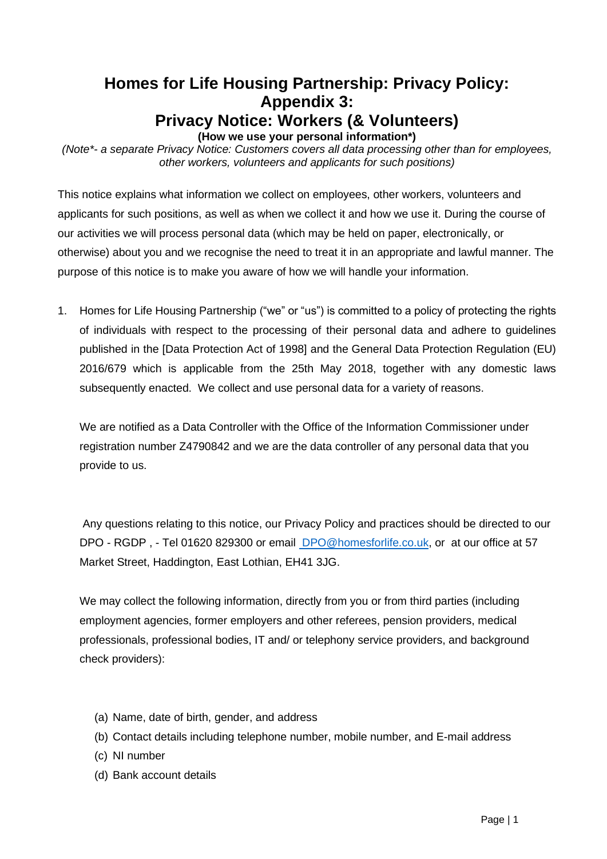# **Homes for Life Housing Partnership: Privacy Policy: Appendix 3: Privacy Notice: Workers (& Volunteers) (How we use your personal information\*)**

<span id="page-18-0"></span>*(Note\*- a separate Privacy Notice: Customers covers all data processing other than for employees, other workers, volunteers and applicants for such positions)*

This notice explains what information we collect on employees, other workers, volunteers and applicants for such positions, as well as when we collect it and how we use it. During the course of our activities we will process personal data (which may be held on paper, electronically, or otherwise) about you and we recognise the need to treat it in an appropriate and lawful manner. The purpose of this notice is to make you aware of how we will handle your information.

1. Homes for Life Housing Partnership ("we" or "us") is committed to a policy of protecting the rights of individuals with respect to the processing of their personal data and adhere to guidelines published in the [Data Protection Act of 1998] and the General Data Protection Regulation (EU) 2016/679 which is applicable from the 25th May 2018, together with any domestic laws subsequently enacted. We collect and use personal data for a variety of reasons.

We are notified as a Data Controller with the Office of the Information Commissioner under registration number Z4790842 and we are the data controller of any personal data that you provide to us.

Any questions relating to this notice, our Privacy Policy and practices should be directed to our DPO - RGDP , - Tel 01620 829300 or email [DPO@homesforlife.co.uk,](mailto:DPO@homesforlife.co.uk) or at our office at 57 Market Street, Haddington, East Lothian, EH41 3JG.

We may collect the following information, directly from you or from third parties (including employment agencies, former employers and other referees, pension providers, medical professionals, professional bodies, IT and/ or telephony service providers, and background check providers):

- (a) Name, date of birth, gender, and address
- (b) Contact details including telephone number, mobile number, and E-mail address
- (c) NI number
- (d) Bank account details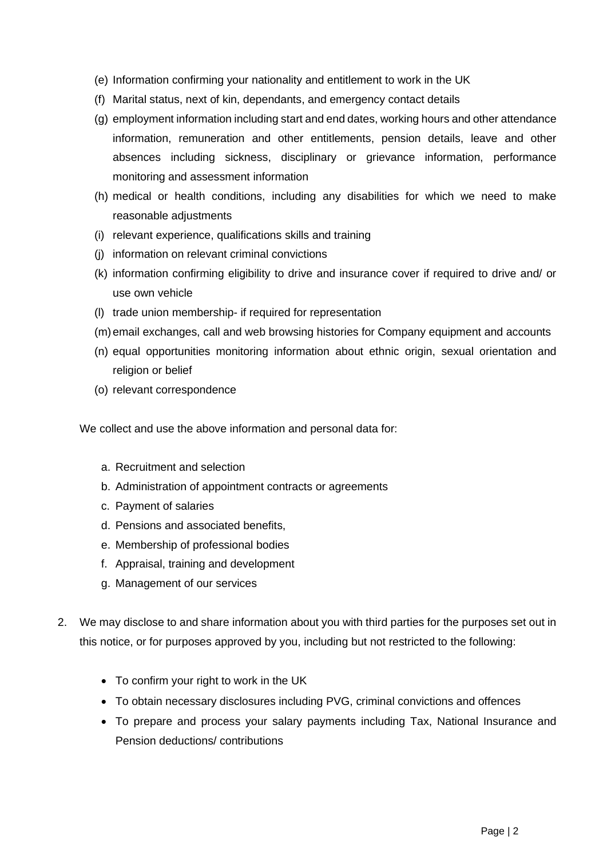- (e) Information confirming your nationality and entitlement to work in the UK
- (f) Marital status, next of kin, dependants, and emergency contact details
- (g) employment information including start and end dates, working hours and other attendance information, remuneration and other entitlements, pension details, leave and other absences including sickness, disciplinary or grievance information, performance monitoring and assessment information
- (h) medical or health conditions, including any disabilities for which we need to make reasonable adjustments
- (i) relevant experience, qualifications skills and training
- (j) information on relevant criminal convictions
- (k) information confirming eligibility to drive and insurance cover if required to drive and/ or use own vehicle
- (l) trade union membership- if required for representation
- (m)email exchanges, call and web browsing histories for Company equipment and accounts
- (n) equal opportunities monitoring information about ethnic origin, sexual orientation and religion or belief
- (o) relevant correspondence

We collect and use the above information and personal data for:

- a. Recruitment and selection
- b. Administration of appointment contracts or agreements
- c. Payment of salaries
- d. Pensions and associated benefits,
- e. Membership of professional bodies
- f. Appraisal, training and development
- g. Management of our services
- 2. We may disclose to and share information about you with third parties for the purposes set out in this notice, or for purposes approved by you, including but not restricted to the following:
	- To confirm your right to work in the UK
	- To obtain necessary disclosures including PVG, criminal convictions and offences
	- To prepare and process your salary payments including Tax, National Insurance and Pension deductions/ contributions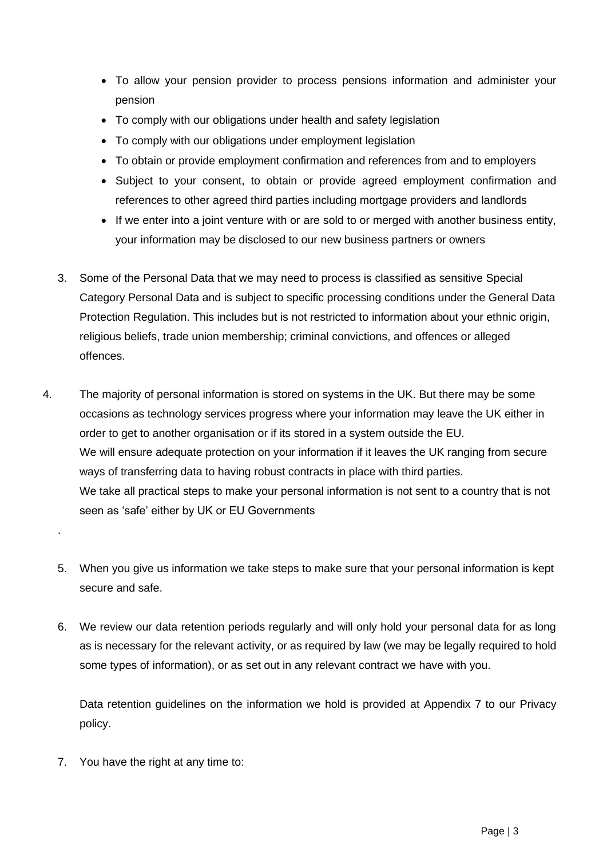- To allow your pension provider to process pensions information and administer your pension
- To comply with our obligations under health and safety legislation
- To comply with our obligations under employment legislation
- To obtain or provide employment confirmation and references from and to employers
- Subject to your consent, to obtain or provide agreed employment confirmation and references to other agreed third parties including mortgage providers and landlords
- If we enter into a joint venture with or are sold to or merged with another business entity, your information may be disclosed to our new business partners or owners
- 3. Some of the Personal Data that we may need to process is classified as sensitive Special Category Personal Data and is subject to specific processing conditions under the General Data Protection Regulation. This includes but is not restricted to information about your ethnic origin, religious beliefs, trade union membership; criminal convictions, and offences or alleged offences.
- 4. The majority of personal information is stored on systems in the UK. But there may be some occasions as technology services progress where your information may leave the UK either in order to get to another organisation or if its stored in a system outside the EU. We will ensure adequate protection on your information if it leaves the UK ranging from secure ways of transferring data to having robust contracts in place with third parties. We take all practical steps to make your personal information is not sent to a country that is not seen as 'safe' either by UK or EU Governments
	- 5. When you give us information we take steps to make sure that your personal information is kept secure and safe.
	- 6. We review our data retention periods regularly and will only hold your personal data for as long as is necessary for the relevant activity, or as required by law (we may be legally required to hold some types of information), or as set out in any relevant contract we have with you.

Data retention guidelines on the information we hold is provided at Appendix 7 to our Privacy policy.

7. You have the right at any time to:

.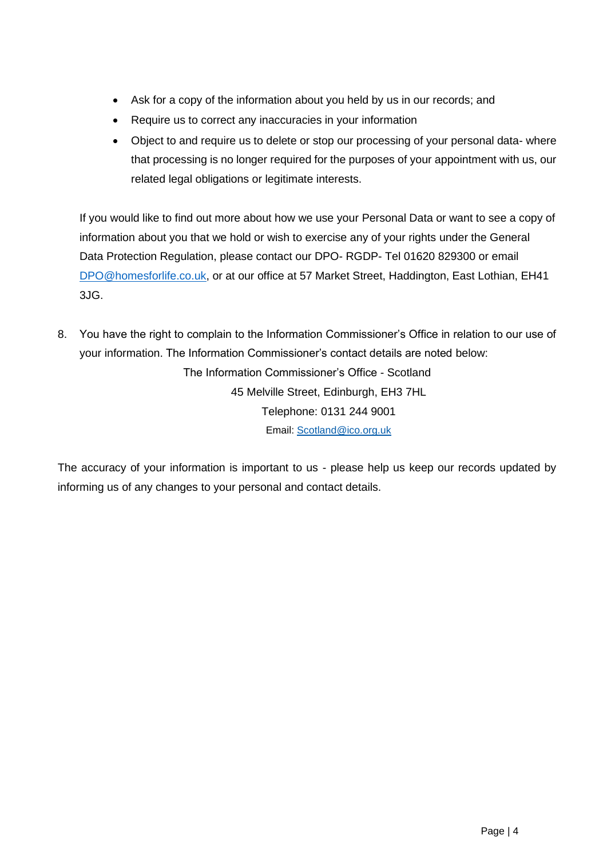- Ask for a copy of the information about you held by us in our records; and
- Require us to correct any inaccuracies in your information
- Object to and require us to delete or stop our processing of your personal data-where that processing is no longer required for the purposes of your appointment with us, our related legal obligations or legitimate interests.

If you would like to find out more about how we use your Personal Data or want to see a copy of information about you that we hold or wish to exercise any of your rights under the General Data Protection Regulation, please contact our DPO- RGDP- Tel 01620 829300 or email [DPO@homesforlife.co.uk,](mailto:DPO@homesforlife.co.uk) or at our office at 57 Market Street, Haddington, East Lothian, EH41 3JG.

8. You have the right to complain to the Information Commissioner's Office in relation to our use of your information. The Information Commissioner's contact details are noted below: The Information Commissioner's Office - Scotland 45 Melville Street, Edinburgh, EH3 7HL Telephone: 0131 244 9001 Email: [Scotland@ico.org.uk](mailto:Scotland@ico.org.uk)

The accuracy of your information is important to us - please help us keep our records updated by informing us of any changes to your personal and contact details.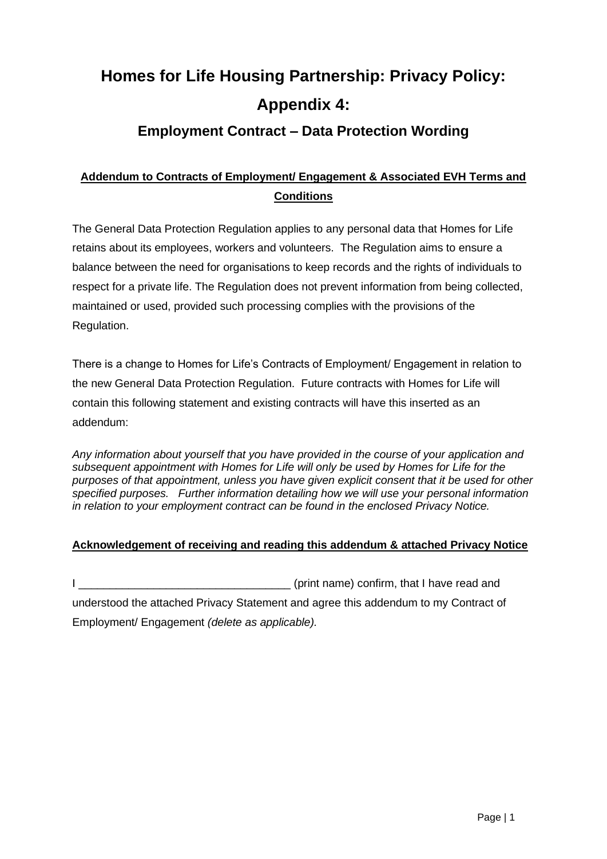# <span id="page-22-0"></span>**Homes for Life Housing Partnership: Privacy Policy: Appendix 4:**

# **Employment Contract – Data Protection Wording**

# **Addendum to Contracts of Employment/ Engagement & Associated EVH Terms and Conditions**

The General Data Protection Regulation applies to any personal data that Homes for Life retains about its employees, workers and volunteers. The Regulation aims to ensure a balance between the need for organisations to keep records and the rights of individuals to respect for a private life. The Regulation does not prevent information from being collected, maintained or used, provided such processing complies with the provisions of the Regulation.

There is a change to Homes for Life's Contracts of Employment/ Engagement in relation to the new General Data Protection Regulation. Future contracts with Homes for Life will contain this following statement and existing contracts will have this inserted as an addendum:

*Any information about yourself that you have provided in the course of your application and subsequent appointment with Homes for Life will only be used by Homes for Life for the purposes of that appointment, unless you have given explicit consent that it be used for other specified purposes. Further information detailing how we will use your personal information in relation to your employment contract can be found in the enclosed Privacy Notice.*

## **Acknowledgement of receiving and reading this addendum & attached Privacy Notice**

I confirm, that I have read and understood the attached Privacy Statement and agree this addendum to my Contract of Employment/ Engagement *(delete as applicable).*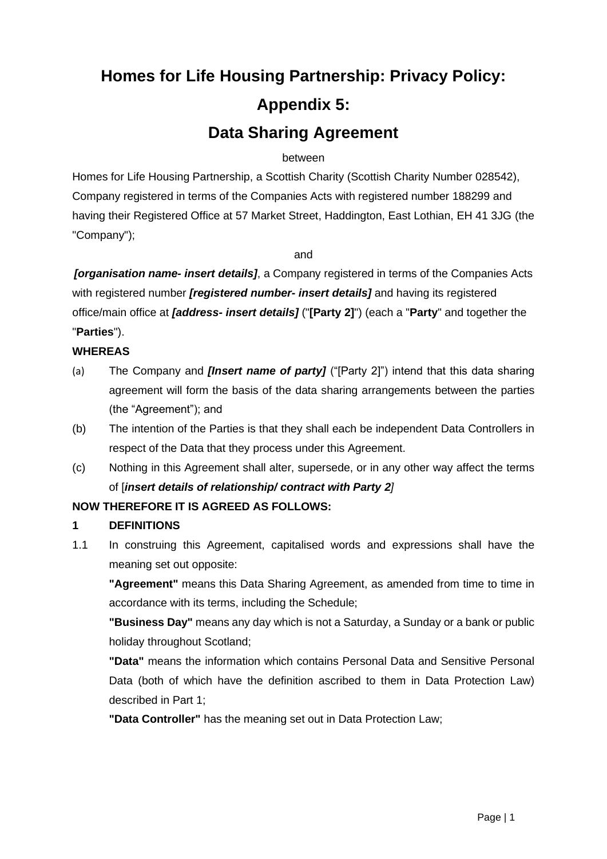# <span id="page-23-0"></span>**Homes for Life Housing Partnership: Privacy Policy: Appendix 5: Data Sharing Agreement**

#### between

Homes for Life Housing Partnership, a Scottish Charity (Scottish Charity Number 028542), Company registered in terms of the Companies Acts with registered number 188299 and having their Registered Office at 57 Market Street, Haddington, East Lothian, EH 41 3JG (the "Company");

and

*[organisation name- insert details]*, a Company registered in terms of the Companies Acts with registered number *[registered number- insert details]* and having its registered office/main office at *[address- insert details]* ("**[Party 2]**") (each a "**Party**" and together the "**Parties**").

## **WHEREAS**

- (a) The Company and *[Insert name of party]* ("[Party 2]") intend that this data sharing agreement will form the basis of the data sharing arrangements between the parties (the "Agreement"); and
- (b) The intention of the Parties is that they shall each be independent Data Controllers in respect of the Data that they process under this Agreement.
- (c) Nothing in this Agreement shall alter, supersede, or in any other way affect the terms of [*insert details of relationship/ contract with Party 2]*

## **NOW THEREFORE IT IS AGREED AS FOLLOWS:**

#### **1 DEFINITIONS**

1.1 In construing this Agreement, capitalised words and expressions shall have the meaning set out opposite:

**"Agreement"** means this Data Sharing Agreement, as amended from time to time in accordance with its terms, including the Schedule;

**"Business Day"** means any day which is not a Saturday, a Sunday or a bank or public holiday throughout Scotland;

**"Data"** means the information which contains Personal Data and Sensitive Personal Data (both of which have the definition ascribed to them in Data Protection Law) described in Part 1;

**"Data Controller"** has the meaning set out in Data Protection Law;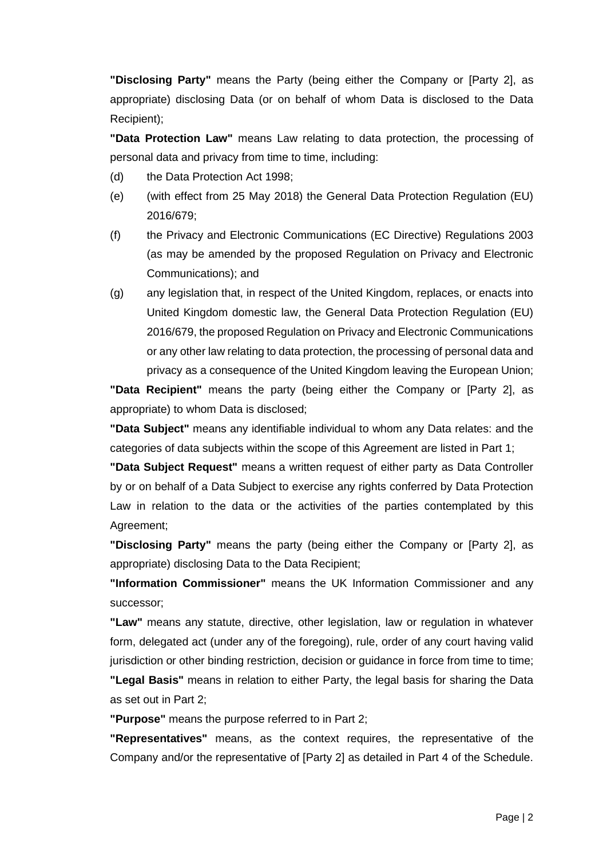**"Disclosing Party"** means the Party (being either the Company or [Party 2], as appropriate) disclosing Data (or on behalf of whom Data is disclosed to the Data Recipient);

**"Data Protection Law"** means Law relating to data protection, the processing of personal data and privacy from time to time, including:

- (d) the Data Protection Act 1998;
- (e) (with effect from 25 May 2018) the General Data Protection Regulation (EU) 2016/679;
- (f) the Privacy and Electronic Communications (EC Directive) Regulations 2003 (as may be amended by the proposed Regulation on Privacy and Electronic Communications); and
- (g) any legislation that, in respect of the United Kingdom, replaces, or enacts into United Kingdom domestic law, the General Data Protection Regulation (EU) 2016/679, the proposed Regulation on Privacy and Electronic Communications or any other law relating to data protection, the processing of personal data and privacy as a consequence of the United Kingdom leaving the European Union;

**"Data Recipient"** means the party (being either the Company or [Party 2], as appropriate) to whom Data is disclosed;

**"Data Subject"** means any identifiable individual to whom any Data relates: and the categories of data subjects within the scope of this Agreement are listed in Part 1;

**"Data Subject Request"** means a written request of either party as Data Controller by or on behalf of a Data Subject to exercise any rights conferred by Data Protection Law in relation to the data or the activities of the parties contemplated by this Agreement;

**"Disclosing Party"** means the party (being either the Company or [Party 2], as appropriate) disclosing Data to the Data Recipient;

**"Information Commissioner"** means the UK Information Commissioner and any successor;

**"Law"** means any statute, directive, other legislation, law or regulation in whatever form, delegated act (under any of the foregoing), rule, order of any court having valid jurisdiction or other binding restriction, decision or guidance in force from time to time; **"Legal Basis"** means in relation to either Party, the legal basis for sharing the Data as set out in Part 2;

**"Purpose"** means the purpose referred to in Part 2;

**"Representatives"** means, as the context requires, the representative of the Company and/or the representative of [Party 2] as detailed in Part 4 of the Schedule.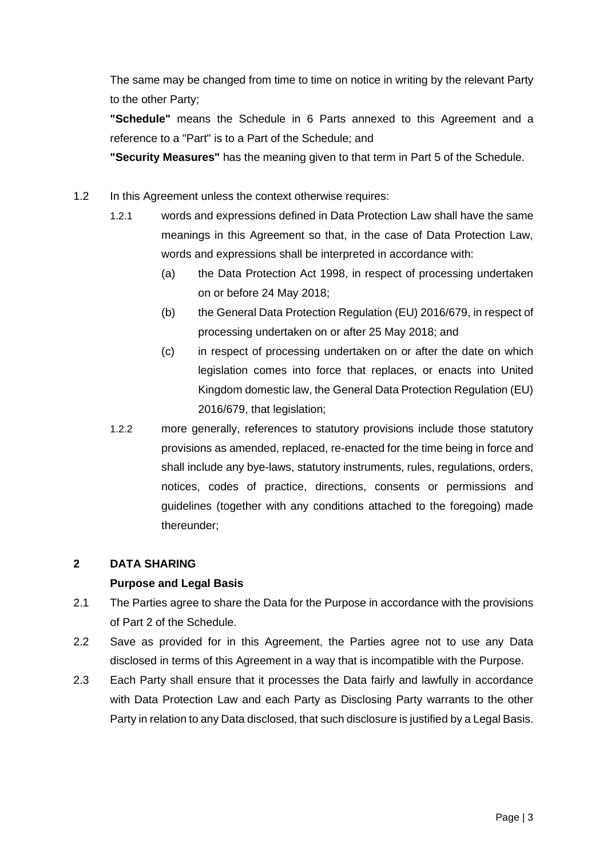The same may be changed from time to time on notice in writing by the relevant Party to the other Party;

**"Schedule"** means the Schedule in 6 Parts annexed to this Agreement and a reference to a "Part" is to a Part of the Schedule; and

**"Security Measures"** has the meaning given to that term in Part 5 of the Schedule.

- 1.2 In this Agreement unless the context otherwise requires:
	- 1.2.1 words and expressions defined in Data Protection Law shall have the same meanings in this Agreement so that, in the case of Data Protection Law, words and expressions shall be interpreted in accordance with:
		- (a) the Data Protection Act 1998, in respect of processing undertaken on or before 24 May 2018;
		- (b) the General Data Protection Regulation (EU) 2016/679, in respect of processing undertaken on or after 25 May 2018; and
		- (c) in respect of processing undertaken on or after the date on which legislation comes into force that replaces, or enacts into United Kingdom domestic law, the General Data Protection Regulation (EU) 2016/679, that legislation;
	- 1.2.2 more generally, references to statutory provisions include those statutory provisions as amended, replaced, re-enacted for the time being in force and shall include any bye-laws, statutory instruments, rules, regulations, orders, notices, codes of practice, directions, consents or permissions and guidelines (together with any conditions attached to the foregoing) made thereunder;

#### **2 DATA SHARING**

#### **Purpose and Legal Basis**

- 2.1 The Parties agree to share the Data for the Purpose in accordance with the provisions of Part 2 of the Schedule.
- 2.2 Save as provided for in this Agreement, the Parties agree not to use any Data disclosed in terms of this Agreement in a way that is incompatible with the Purpose.
- 2.3 Each Party shall ensure that it processes the Data fairly and lawfully in accordance with Data Protection Law and each Party as Disclosing Party warrants to the other Party in relation to any Data disclosed, that such disclosure is justified by a Legal Basis.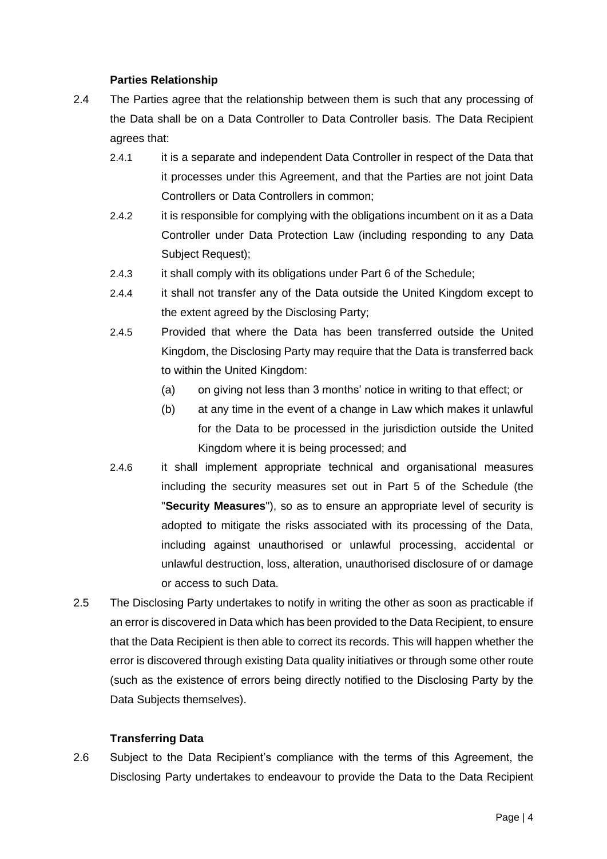#### **Parties Relationship**

- 2.4 The Parties agree that the relationship between them is such that any processing of the Data shall be on a Data Controller to Data Controller basis. The Data Recipient agrees that:
	- 2.4.1 it is a separate and independent Data Controller in respect of the Data that it processes under this Agreement, and that the Parties are not joint Data Controllers or Data Controllers in common;
	- 2.4.2 it is responsible for complying with the obligations incumbent on it as a Data Controller under Data Protection Law (including responding to any Data Subject Request);
	- 2.4.3 it shall comply with its obligations under Part 6 of the Schedule;
	- 2.4.4 it shall not transfer any of the Data outside the United Kingdom except to the extent agreed by the Disclosing Party;
	- 2.4.5 Provided that where the Data has been transferred outside the United Kingdom, the Disclosing Party may require that the Data is transferred back to within the United Kingdom:
		- (a) on giving not less than 3 months' notice in writing to that effect; or
		- (b) at any time in the event of a change in Law which makes it unlawful for the Data to be processed in the jurisdiction outside the United Kingdom where it is being processed; and
	- 2.4.6 it shall implement appropriate technical and organisational measures including the security measures set out in Part 5 of the Schedule (the "**Security Measures**"), so as to ensure an appropriate level of security is adopted to mitigate the risks associated with its processing of the Data, including against unauthorised or unlawful processing, accidental or unlawful destruction, loss, alteration, unauthorised disclosure of or damage or access to such Data.
- 2.5 The Disclosing Party undertakes to notify in writing the other as soon as practicable if an error is discovered in Data which has been provided to the Data Recipient, to ensure that the Data Recipient is then able to correct its records. This will happen whether the error is discovered through existing Data quality initiatives or through some other route (such as the existence of errors being directly notified to the Disclosing Party by the Data Subjects themselves).

#### **Transferring Data**

2.6 Subject to the Data Recipient's compliance with the terms of this Agreement, the Disclosing Party undertakes to endeavour to provide the Data to the Data Recipient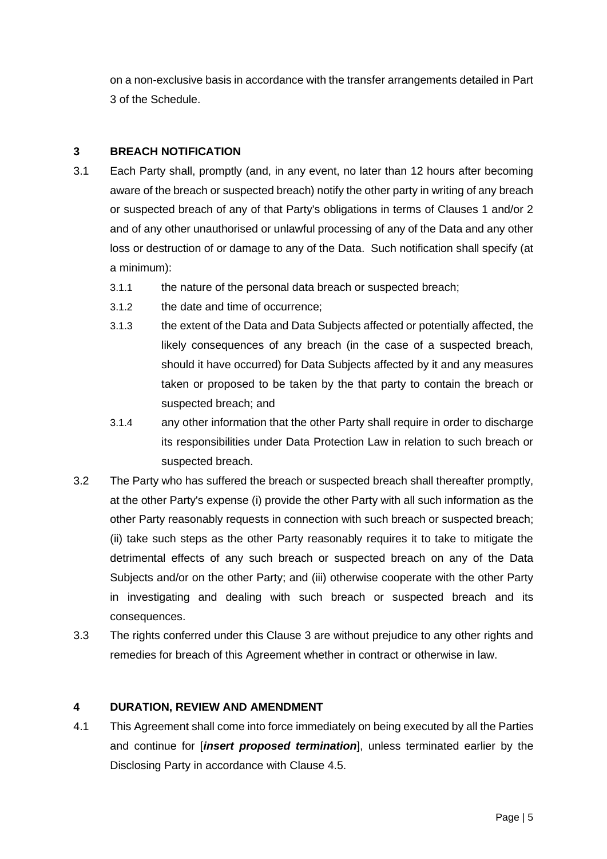on a non-exclusive basis in accordance with the transfer arrangements detailed in Part 3 of the Schedule.

#### **3 BREACH NOTIFICATION**

- 3.1 Each Party shall, promptly (and, in any event, no later than 12 hours after becoming aware of the breach or suspected breach) notify the other party in writing of any breach or suspected breach of any of that Party's obligations in terms of Clauses 1 and/or 2 and of any other unauthorised or unlawful processing of any of the Data and any other loss or destruction of or damage to any of the Data. Such notification shall specify (at a minimum):
	- 3.1.1 the nature of the personal data breach or suspected breach;
	- 3.1.2 the date and time of occurrence;
	- 3.1.3 the extent of the Data and Data Subjects affected or potentially affected, the likely consequences of any breach (in the case of a suspected breach, should it have occurred) for Data Subjects affected by it and any measures taken or proposed to be taken by the that party to contain the breach or suspected breach; and
	- 3.1.4 any other information that the other Party shall require in order to discharge its responsibilities under Data Protection Law in relation to such breach or suspected breach.
- 3.2 The Party who has suffered the breach or suspected breach shall thereafter promptly, at the other Party's expense (i) provide the other Party with all such information as the other Party reasonably requests in connection with such breach or suspected breach; (ii) take such steps as the other Party reasonably requires it to take to mitigate the detrimental effects of any such breach or suspected breach on any of the Data Subjects and/or on the other Party; and (iii) otherwise cooperate with the other Party in investigating and dealing with such breach or suspected breach and its consequences.
- 3.3 The rights conferred under this Clause 3 are without prejudice to any other rights and remedies for breach of this Agreement whether in contract or otherwise in law.

#### **4 DURATION, REVIEW AND AMENDMENT**

4.1 This Agreement shall come into force immediately on being executed by all the Parties and continue for [*insert proposed termination*], unless terminated earlier by the Disclosing Party in accordance with Clause 4.5.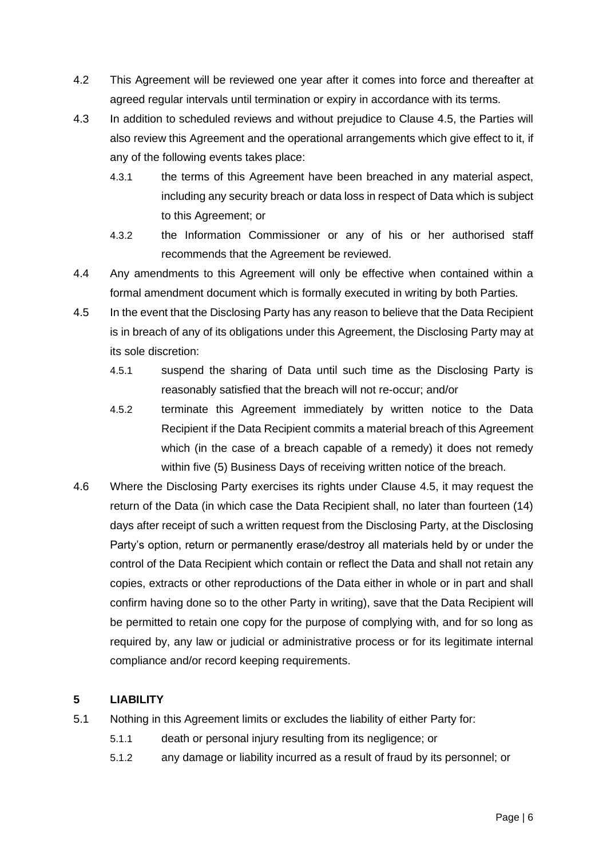- 4.2 This Agreement will be reviewed one year after it comes into force and thereafter at agreed regular intervals until termination or expiry in accordance with its terms.
- 4.3 In addition to scheduled reviews and without prejudice to Clause 4.5, the Parties will also review this Agreement and the operational arrangements which give effect to it, if any of the following events takes place:
	- 4.3.1 the terms of this Agreement have been breached in any material aspect, including any security breach or data loss in respect of Data which is subject to this Agreement; or
	- 4.3.2 the Information Commissioner or any of his or her authorised staff recommends that the Agreement be reviewed.
- 4.4 Any amendments to this Agreement will only be effective when contained within a formal amendment document which is formally executed in writing by both Parties.
- 4.5 In the event that the Disclosing Party has any reason to believe that the Data Recipient is in breach of any of its obligations under this Agreement, the Disclosing Party may at its sole discretion:
	- 4.5.1 suspend the sharing of Data until such time as the Disclosing Party is reasonably satisfied that the breach will not re-occur; and/or
	- 4.5.2 terminate this Agreement immediately by written notice to the Data Recipient if the Data Recipient commits a material breach of this Agreement which (in the case of a breach capable of a remedy) it does not remedy within five (5) Business Days of receiving written notice of the breach.
- 4.6 Where the Disclosing Party exercises its rights under Clause 4.5, it may request the return of the Data (in which case the Data Recipient shall, no later than fourteen (14) days after receipt of such a written request from the Disclosing Party, at the Disclosing Party's option, return or permanently erase/destroy all materials held by or under the control of the Data Recipient which contain or reflect the Data and shall not retain any copies, extracts or other reproductions of the Data either in whole or in part and shall confirm having done so to the other Party in writing), save that the Data Recipient will be permitted to retain one copy for the purpose of complying with, and for so long as required by, any law or judicial or administrative process or for its legitimate internal compliance and/or record keeping requirements.

#### **5 LIABILITY**

- 5.1 Nothing in this Agreement limits or excludes the liability of either Party for:
	- 5.1.1 death or personal injury resulting from its negligence; or
	- 5.1.2 any damage or liability incurred as a result of fraud by its personnel; or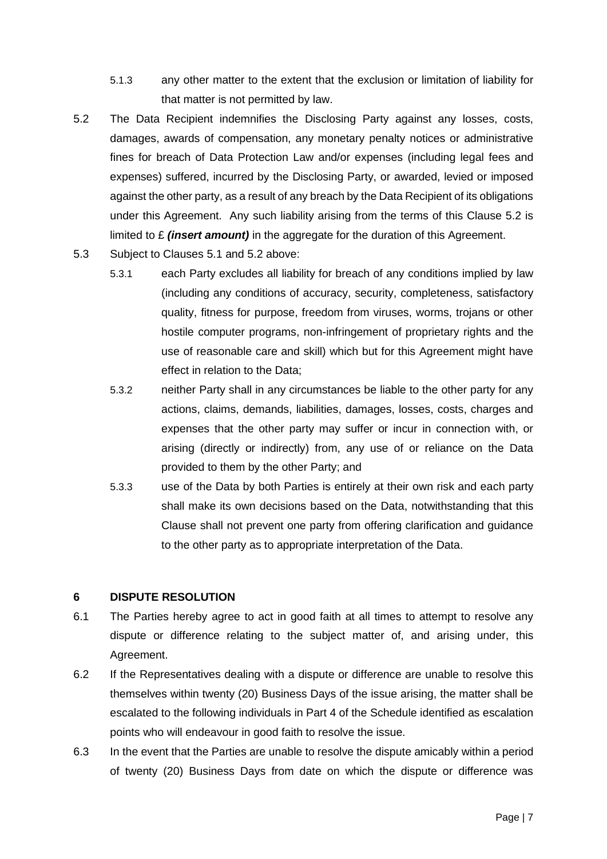- 5.1.3 any other matter to the extent that the exclusion or limitation of liability for that matter is not permitted by law.
- 5.2 The Data Recipient indemnifies the Disclosing Party against any losses, costs, damages, awards of compensation, any monetary penalty notices or administrative fines for breach of Data Protection Law and/or expenses (including legal fees and expenses) suffered, incurred by the Disclosing Party, or awarded, levied or imposed against the other party, as a result of any breach by the Data Recipient of its obligations under this Agreement. Any such liability arising from the terms of this Clause 5.2 is limited to £ *(insert amount)* in the aggregate for the duration of this Agreement.
- 5.3 Subject to Clauses 5.1 and 5.2 above:
	- 5.3.1 each Party excludes all liability for breach of any conditions implied by law (including any conditions of accuracy, security, completeness, satisfactory quality, fitness for purpose, freedom from viruses, worms, trojans or other hostile computer programs, non-infringement of proprietary rights and the use of reasonable care and skill) which but for this Agreement might have effect in relation to the Data;
	- 5.3.2 neither Party shall in any circumstances be liable to the other party for any actions, claims, demands, liabilities, damages, losses, costs, charges and expenses that the other party may suffer or incur in connection with, or arising (directly or indirectly) from, any use of or reliance on the Data provided to them by the other Party; and
	- 5.3.3 use of the Data by both Parties is entirely at their own risk and each party shall make its own decisions based on the Data, notwithstanding that this Clause shall not prevent one party from offering clarification and guidance to the other party as to appropriate interpretation of the Data.

#### **6 DISPUTE RESOLUTION**

- 6.1 The Parties hereby agree to act in good faith at all times to attempt to resolve any dispute or difference relating to the subject matter of, and arising under, this Agreement.
- 6.2 If the Representatives dealing with a dispute or difference are unable to resolve this themselves within twenty (20) Business Days of the issue arising, the matter shall be escalated to the following individuals in Part 4 of the Schedule identified as escalation points who will endeavour in good faith to resolve the issue.
- 6.3 In the event that the Parties are unable to resolve the dispute amicably within a period of twenty (20) Business Days from date on which the dispute or difference was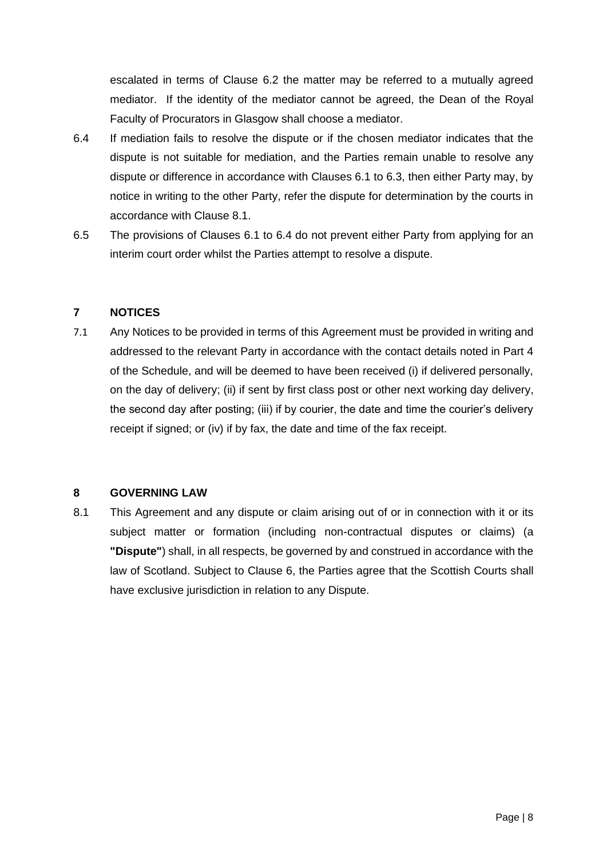escalated in terms of Clause 6.2 the matter may be referred to a mutually agreed mediator. If the identity of the mediator cannot be agreed, the Dean of the Royal Faculty of Procurators in Glasgow shall choose a mediator.

- 6.4 If mediation fails to resolve the dispute or if the chosen mediator indicates that the dispute is not suitable for mediation, and the Parties remain unable to resolve any dispute or difference in accordance with Clauses 6.1 to 6.3, then either Party may, by notice in writing to the other Party, refer the dispute for determination by the courts in accordance with Clause 8.1.
- 6.5 The provisions of Clauses 6.1 to 6.4 do not prevent either Party from applying for an interim court order whilst the Parties attempt to resolve a dispute.

#### **7 NOTICES**

7.1 Any Notices to be provided in terms of this Agreement must be provided in writing and addressed to the relevant Party in accordance with the contact details noted in Part 4 of the Schedule, and will be deemed to have been received (i) if delivered personally, on the day of delivery; (ii) if sent by first class post or other next working day delivery, the second day after posting; (iii) if by courier, the date and time the courier's delivery receipt if signed; or (iv) if by fax, the date and time of the fax receipt.

#### **8 GOVERNING LAW**

8.1 This Agreement and any dispute or claim arising out of or in connection with it or its subject matter or formation (including non-contractual disputes or claims) (a **"Dispute"**) shall, in all respects, be governed by and construed in accordance with the law of Scotland. Subject to Clause 6, the Parties agree that the Scottish Courts shall have exclusive jurisdiction in relation to any Dispute.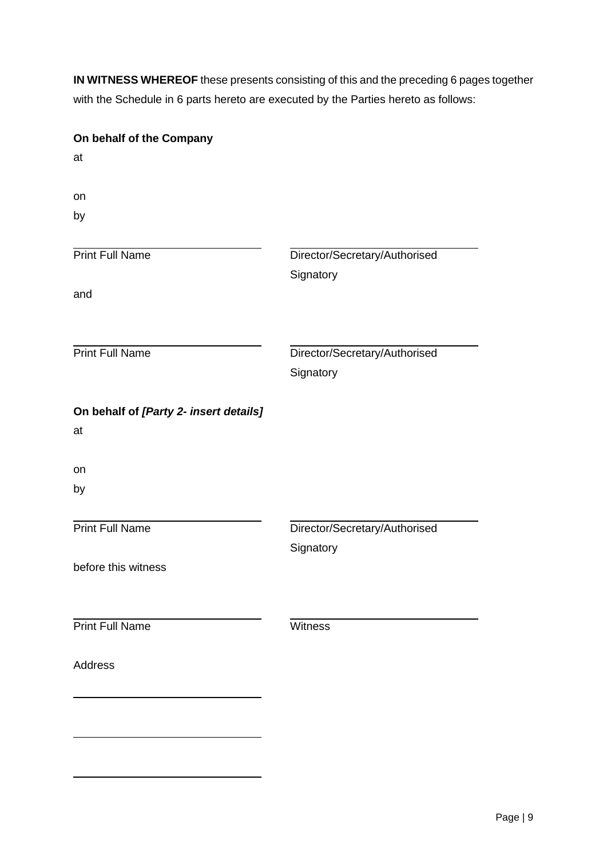**IN WITNESS WHEREOF** these presents consisting of this and the preceding 6 pages together with the Schedule in 6 parts hereto are executed by the Parties hereto as follows:

| On behalf of the Company                     |                                            |
|----------------------------------------------|--------------------------------------------|
| at                                           |                                            |
| on                                           |                                            |
| by                                           |                                            |
| <b>Print Full Name</b>                       | Director/Secretary/Authorised<br>Signatory |
| and                                          |                                            |
| <b>Print Full Name</b>                       | Director/Secretary/Authorised              |
|                                              | Signatory                                  |
| On behalf of [Party 2- insert details]<br>at |                                            |
| on                                           |                                            |
| by                                           |                                            |
| <b>Print Full Name</b>                       | Director/Secretary/Authorised<br>Signatory |
| before this witness                          |                                            |
| <b>Print Full Name</b>                       | Witness                                    |
| <b>Address</b>                               |                                            |
|                                              |                                            |
|                                              |                                            |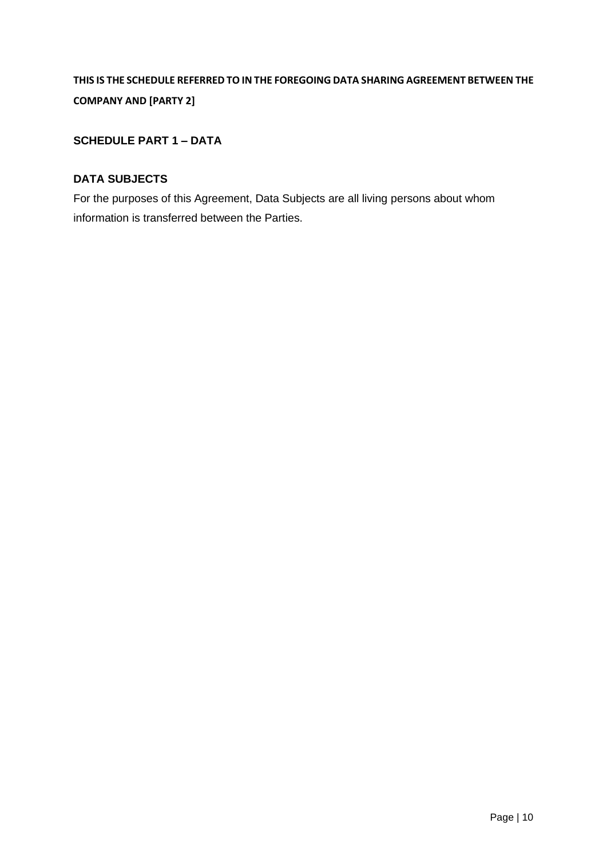# **THIS IS THE SCHEDULE REFERRED TO IN THE FOREGOING DATA SHARING AGREEMENT BETWEEN THE COMPANY AND [PARTY 2]**

## **SCHEDULE PART 1 – DATA**

#### **DATA SUBJECTS**

For the purposes of this Agreement, Data Subjects are all living persons about whom information is transferred between the Parties.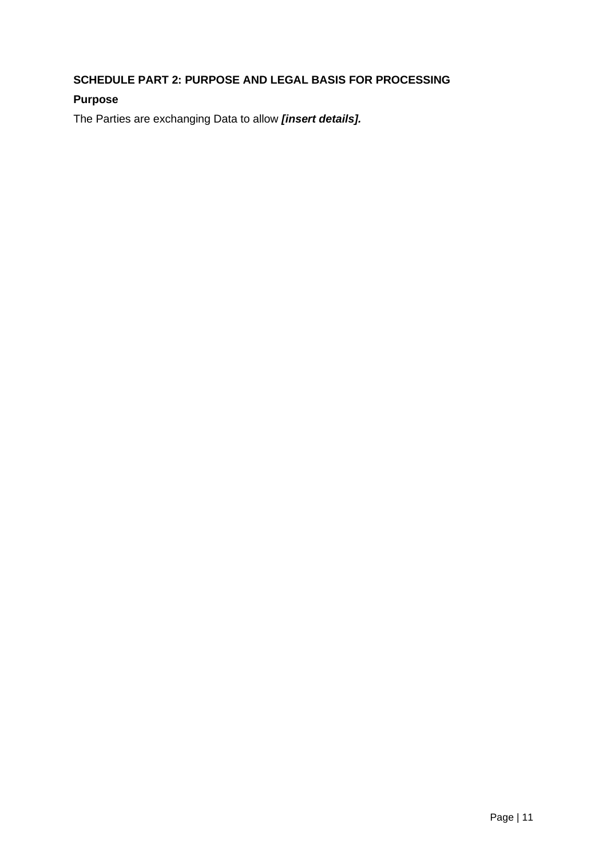# **SCHEDULE PART 2: PURPOSE AND LEGAL BASIS FOR PROCESSING**

## **Purpose**

The Parties are exchanging Data to allow *[insert details].*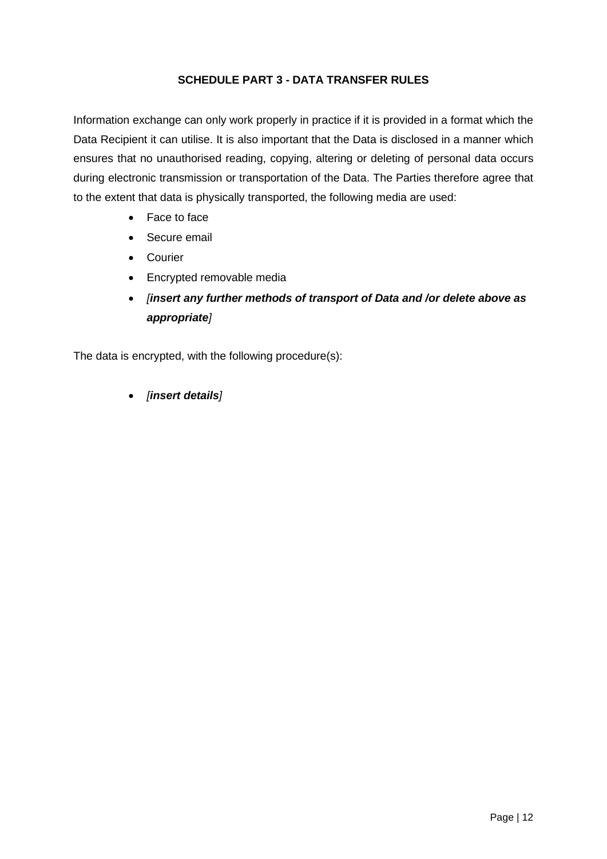#### **SCHEDULE PART 3 - DATA TRANSFER RULES**

Information exchange can only work properly in practice if it is provided in a format which the Data Recipient it can utilise. It is also important that the Data is disclosed in a manner which ensures that no unauthorised reading, copying, altering or deleting of personal data occurs during electronic transmission or transportation of the Data. The Parties therefore agree that to the extent that data is physically transported, the following media are used:

- Face to face
- Secure email
- Courier
- Encrypted removable media
- *[insert any further methods of transport of Data and /or delete above as appropriate]*

The data is encrypted, with the following procedure(s):

• *[insert details]*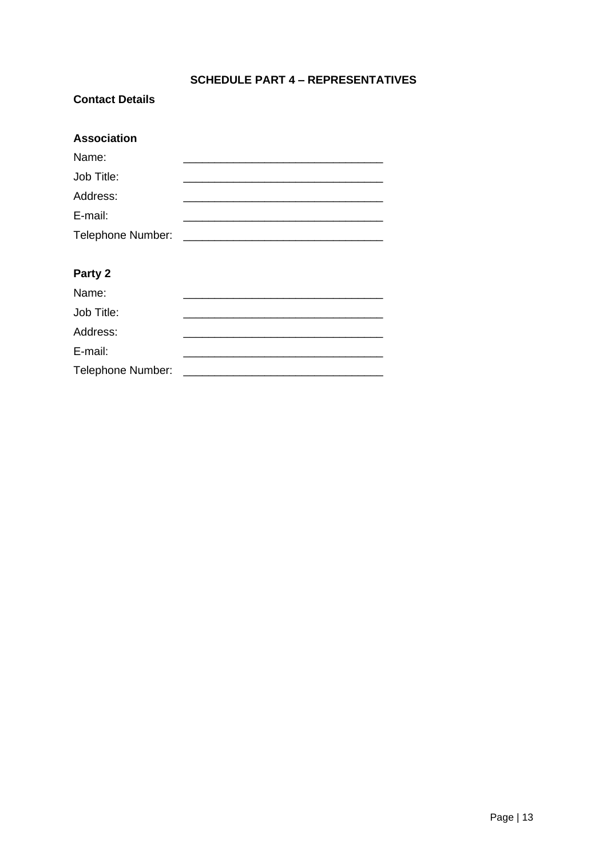# **SCHEDULE PART 4 - REPRESENTATIVES**

#### **Contact Details**

| <b>Association</b> |  |
|--------------------|--|
| Name:              |  |
| Job Title:         |  |
| Address:           |  |
| E-mail:            |  |
| Telephone Number:  |  |
|                    |  |
| Party 2            |  |

| Name:             |  |
|-------------------|--|
| Job Title:        |  |
| Address:          |  |
| E-mail:           |  |
| Telephone Number: |  |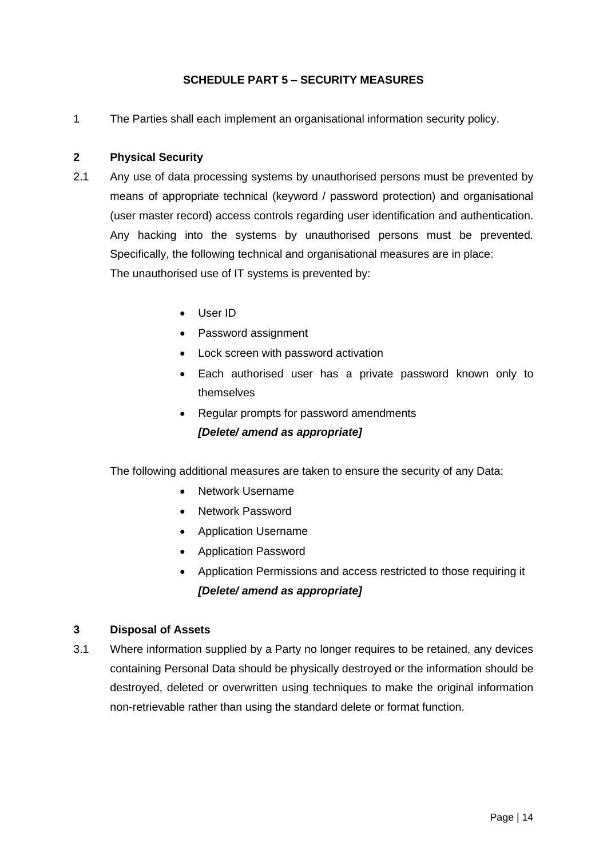#### **SCHEDULE PART 5 – SECURITY MEASURES**

1 The Parties shall each implement an organisational information security policy.

#### **2 Physical Security**

- 2.1 Any use of data processing systems by unauthorised persons must be prevented by means of appropriate technical (keyword / password protection) and organisational (user master record) access controls regarding user identification and authentication. Any hacking into the systems by unauthorised persons must be prevented. Specifically, the following technical and organisational measures are in place: The unauthorised use of IT systems is prevented by:
	- User ID
	- Password assignment
	- Lock screen with password activation
	- Each authorised user has a private password known only to themselves
	- Regular prompts for password amendments *[Delete/ amend as appropriate]*

The following additional measures are taken to ensure the security of any Data:

- Network Username
- Network Password
- Application Username
- Application Password
- Application Permissions and access restricted to those requiring it *[Delete/ amend as appropriate]*

#### **3 Disposal of Assets**

3.1 Where information supplied by a Party no longer requires to be retained, any devices containing Personal Data should be physically destroyed or the information should be destroyed, deleted or overwritten using techniques to make the original information non-retrievable rather than using the standard delete or format function.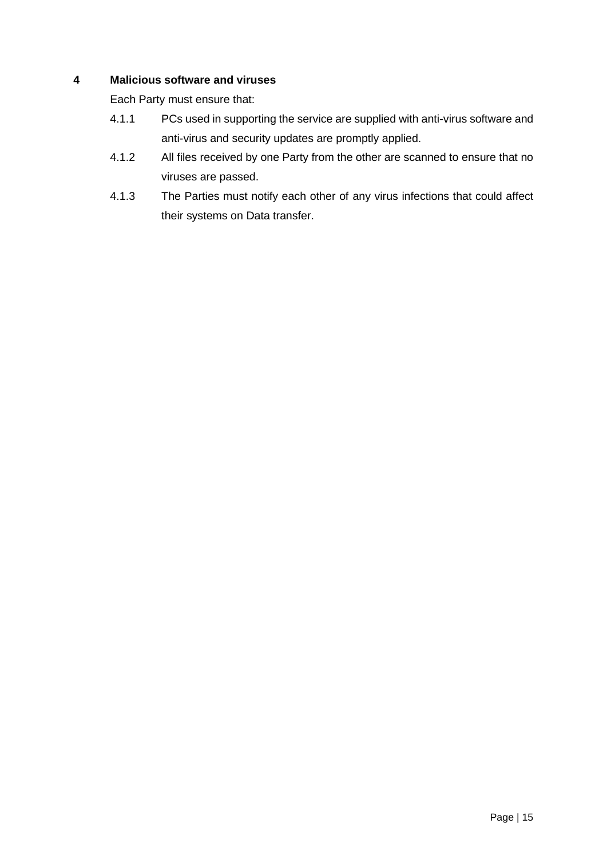## **4 Malicious software and viruses**

Each Party must ensure that:

- 4.1.1 PCs used in supporting the service are supplied with anti-virus software and anti-virus and security updates are promptly applied.
- 4.1.2 All files received by one Party from the other are scanned to ensure that no viruses are passed.
- 4.1.3 The Parties must notify each other of any virus infections that could affect their systems on Data transfer.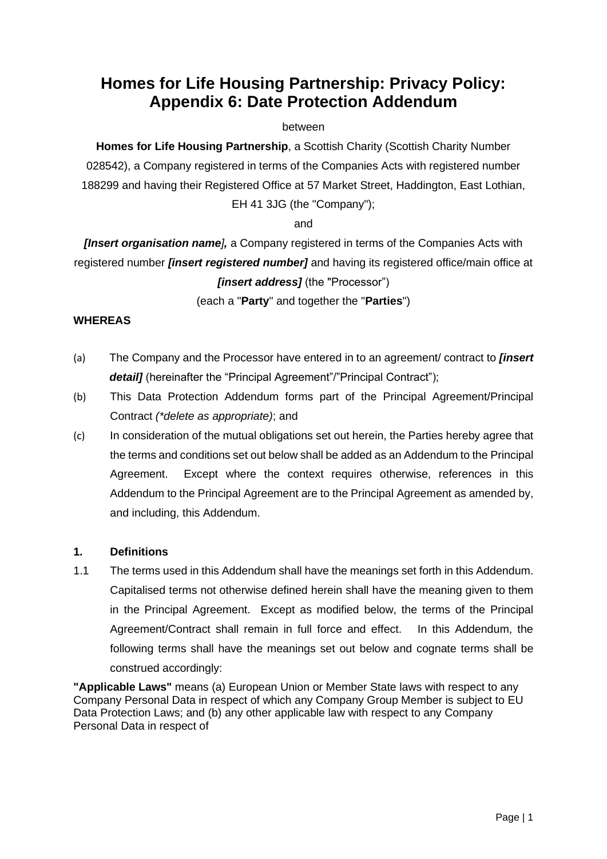# <span id="page-38-0"></span>**Homes for Life Housing Partnership: Privacy Policy: Appendix 6: Date Protection Addendum**

#### between

**Homes for Life Housing Partnership**, a Scottish Charity (Scottish Charity Number 028542), a Company registered in terms of the Companies Acts with registered number 188299 and having their Registered Office at 57 Market Street, Haddington, East Lothian, EH 41 3JG (the "Company");

#### and

*[Insert organisation name],* a Company registered in terms of the Companies Acts with registered number *[insert registered number]* and having its registered office/main office at *[insert address]* (the "Processor")

## (each a "**Party**" and together the "**Parties**")

#### **WHEREAS**

- (a) The Company and the Processor have entered in to an agreement/ contract to *[insert detail]* (hereinafter the "Principal Agreement"/"Principal Contract");
- (b) This Data Protection Addendum forms part of the Principal Agreement/Principal Contract *(\*delete as appropriate)*; and
- (c) In consideration of the mutual obligations set out herein, the Parties hereby agree that the terms and conditions set out below shall be added as an Addendum to the Principal Agreement. Except where the context requires otherwise, references in this Addendum to the Principal Agreement are to the Principal Agreement as amended by, and including, this Addendum.

#### **1. Definitions**

1.1 The terms used in this Addendum shall have the meanings set forth in this Addendum. Capitalised terms not otherwise defined herein shall have the meaning given to them in the Principal Agreement. Except as modified below, the terms of the Principal Agreement/Contract shall remain in full force and effect. In this Addendum, the following terms shall have the meanings set out below and cognate terms shall be construed accordingly:

**"Applicable Laws"** means (a) European Union or Member State laws with respect to any Company Personal Data in respect of which any Company Group Member is subject to EU Data Protection Laws; and (b) any other applicable law with respect to any Company Personal Data in respect of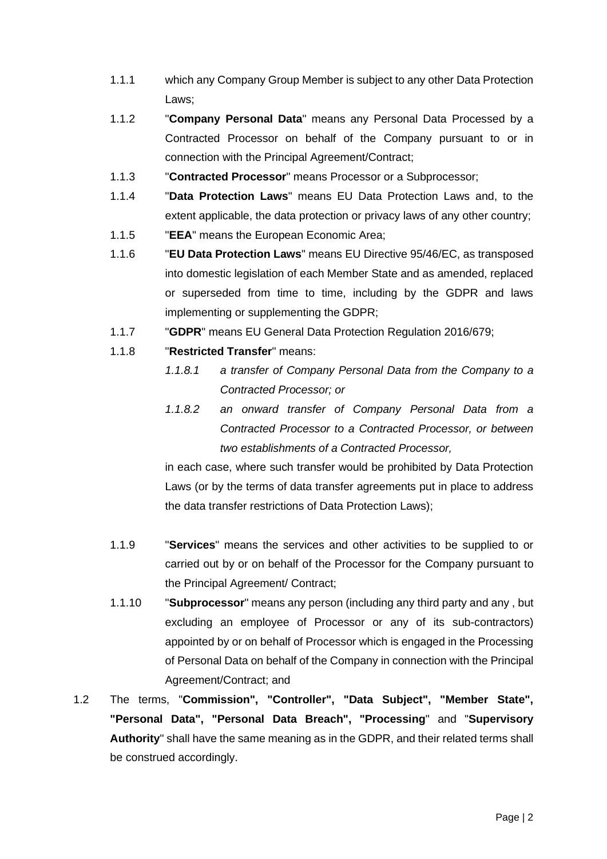- 1.1.1 which any Company Group Member is subject to any other Data Protection Laws;
- 1.1.2 "**Company Personal Data**" means any Personal Data Processed by a Contracted Processor on behalf of the Company pursuant to or in connection with the Principal Agreement/Contract;
- 1.1.3 "**Contracted Processor**" means Processor or a Subprocessor;
- 1.1.4 "**Data Protection Laws**" means EU Data Protection Laws and, to the extent applicable, the data protection or privacy laws of any other country;
- 1.1.5 "**EEA**" means the European Economic Area;
- 1.1.6 "**EU Data Protection Laws**" means EU Directive 95/46/EC, as transposed into domestic legislation of each Member State and as amended, replaced or superseded from time to time, including by the GDPR and laws implementing or supplementing the GDPR;
- 1.1.7 "**GDPR**" means EU General Data Protection Regulation 2016/679;
- 1.1.8 "**Restricted Transfer**" means:
	- *1.1.8.1 a transfer of Company Personal Data from the Company to a Contracted Processor; or*
	- *1.1.8.2 an onward transfer of Company Personal Data from a Contracted Processor to a Contracted Processor, or between two establishments of a Contracted Processor,*

in each case, where such transfer would be prohibited by Data Protection Laws (or by the terms of data transfer agreements put in place to address the data transfer restrictions of Data Protection Laws);

- 1.1.9 "**Services**" means the services and other activities to be supplied to or carried out by or on behalf of the Processor for the Company pursuant to the Principal Agreement/ Contract;
- 1.1.10 "**Subprocessor**" means any person (including any third party and any , but excluding an employee of Processor or any of its sub-contractors) appointed by or on behalf of Processor which is engaged in the Processing of Personal Data on behalf of the Company in connection with the Principal Agreement/Contract; and
- 1.2 The terms, "**Commission", "Controller", "Data Subject", "Member State", "Personal Data", "Personal Data Breach", "Processing**" and "**Supervisory Authority**" shall have the same meaning as in the GDPR, and their related terms shall be construed accordingly.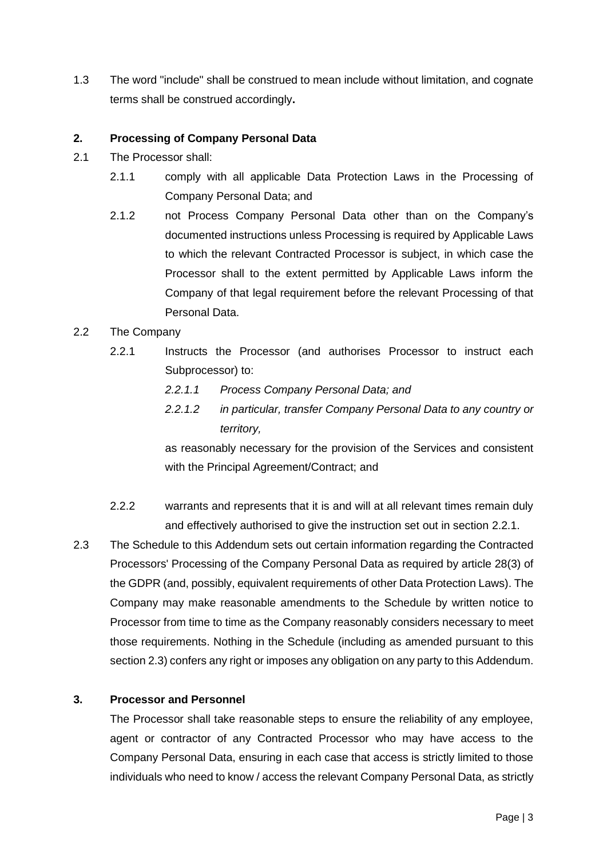1.3 The word "include" shall be construed to mean include without limitation, and cognate terms shall be construed accordingly**.**

#### **2. Processing of Company Personal Data**

- 2.1 The Processor shall:
	- 2.1.1 comply with all applicable Data Protection Laws in the Processing of Company Personal Data; and
	- 2.1.2 not Process Company Personal Data other than on the Company's documented instructions unless Processing is required by Applicable Laws to which the relevant Contracted Processor is subject, in which case the Processor shall to the extent permitted by Applicable Laws inform the Company of that legal requirement before the relevant Processing of that Personal Data.

#### 2.2 The Company

- 2.2.1 Instructs the Processor (and authorises Processor to instruct each Subprocessor) to:
	- *2.2.1.1 Process Company Personal Data; and*
	- *2.2.1.2 in particular, transfer Company Personal Data to any country or territory,*

as reasonably necessary for the provision of the Services and consistent with the Principal Agreement/Contract; and

- 2.2.2 warrants and represents that it is and will at all relevant times remain duly and effectively authorised to give the instruction set out in section [2.2.1.](file:///C:/Users/awm/AppData/Local/Microsoft/Windows/Temporary%20Internet%20Files/Content.IE5/FGDKD7N7/example_data_protection_addendum.doc%23_Ref482951323)
- 2.3 The Schedule to this Addendum sets out certain information regarding the Contracted Processors' Processing of the Company Personal Data as required by article 28(3) of the GDPR (and, possibly, equivalent requirements of other Data Protection Laws). The Company may make reasonable amendments to the Schedule by written notice to Processor from time to time as the Company reasonably considers necessary to meet those requirements. Nothing in the Schedule (including as amended pursuant to this section [2.3\)](file:///C:/Users/awm/AppData/Local/Microsoft/Windows/Temporary%20Internet%20Files/Content.IE5/FGDKD7N7/example_data_protection_addendum.doc%23_Ref482964294) confers any right or imposes any obligation on any party to this Addendum.

#### **3. Processor and Personnel**

The Processor shall take reasonable steps to ensure the reliability of any employee, agent or contractor of any Contracted Processor who may have access to the Company Personal Data, ensuring in each case that access is strictly limited to those individuals who need to know / access the relevant Company Personal Data, as strictly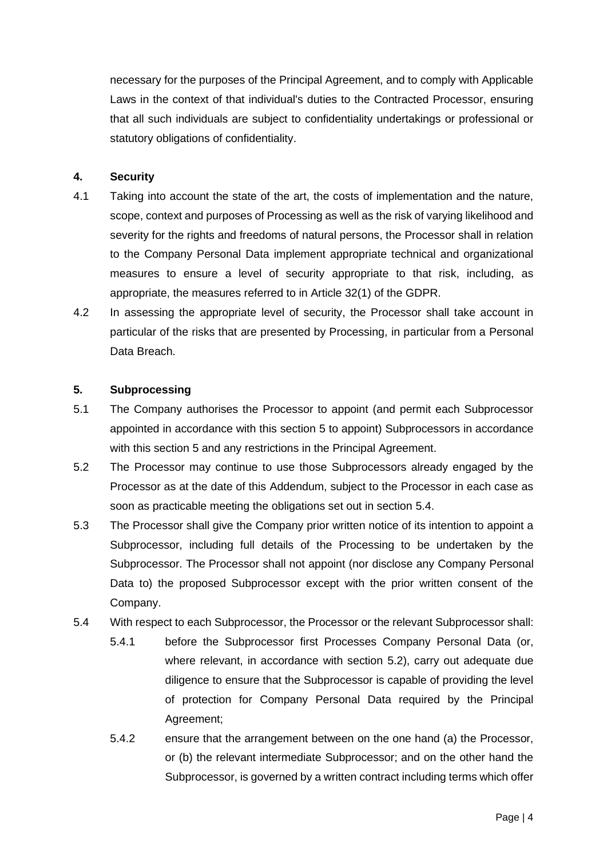necessary for the purposes of the Principal Agreement, and to comply with Applicable Laws in the context of that individual's duties to the Contracted Processor, ensuring that all such individuals are subject to confidentiality undertakings or professional or statutory obligations of confidentiality.

#### **4. Security**

- 4.1 Taking into account the state of the art, the costs of implementation and the nature, scope, context and purposes of Processing as well as the risk of varying likelihood and severity for the rights and freedoms of natural persons, the Processor shall in relation to the Company Personal Data implement appropriate technical and organizational measures to ensure a level of security appropriate to that risk, including, as appropriate, the measures referred to in Article 32(1) of the GDPR.
- 4.2 In assessing the appropriate level of security, the Processor shall take account in particular of the risks that are presented by Processing, in particular from a Personal Data Breach.

#### **5. Subprocessing**

- 5.1 The Company authorises the Processor to appoint (and permit each Subprocessor appointed in accordance with this section [5](file:///C:/Users/awm/AppData/Local/Microsoft/Windows/Temporary%20Internet%20Files/Content.IE5/FGDKD7N7/example_data_protection_addendum.doc%23_Ref472956474) to appoint) Subprocessors in accordance with this section [5](file:///C:/Users/awm/AppData/Local/Microsoft/Windows/Temporary%20Internet%20Files/Content.IE5/FGDKD7N7/example_data_protection_addendum.doc%23_Ref472956474) and any restrictions in the Principal Agreement.
- 5.2 The Processor may continue to use those Subprocessors already engaged by the Processor as at the date of this Addendum, subject to the Processor in each case as soon as practicable meeting the obligations set out in section [5.4.](file:///C:/Users/awm/AppData/Local/Microsoft/Windows/Temporary%20Internet%20Files/Content.IE5/FGDKD7N7/example_data_protection_addendum.doc%23_Ref478107174)
- 5.3 The Processor shall give the Company prior written notice of its intention to appoint a Subprocessor, including full details of the Processing to be undertaken by the Subprocessor. The Processor shall not appoint (nor disclose any Company Personal Data to) the proposed Subprocessor except with the prior written consent of the Company.
- 5.4 With respect to each Subprocessor, the Processor or the relevant Subprocessor shall:
	- 5.4.1 before the Subprocessor first Processes Company Personal Data (or, where relevant, in accordance with section [5.2\)](file:///C:/Users/awm/AppData/Local/Microsoft/Windows/Temporary%20Internet%20Files/Content.IE5/FGDKD7N7/example_data_protection_addendum.doc%23_Ref472933585), carry out adequate due diligence to ensure that the Subprocessor is capable of providing the level of protection for Company Personal Data required by the Principal Agreement;
	- 5.4.2 ensure that the arrangement between on the one hand (a) the Processor, or (b) the relevant intermediate Subprocessor; and on the other hand the Subprocessor, is governed by a written contract including terms which offer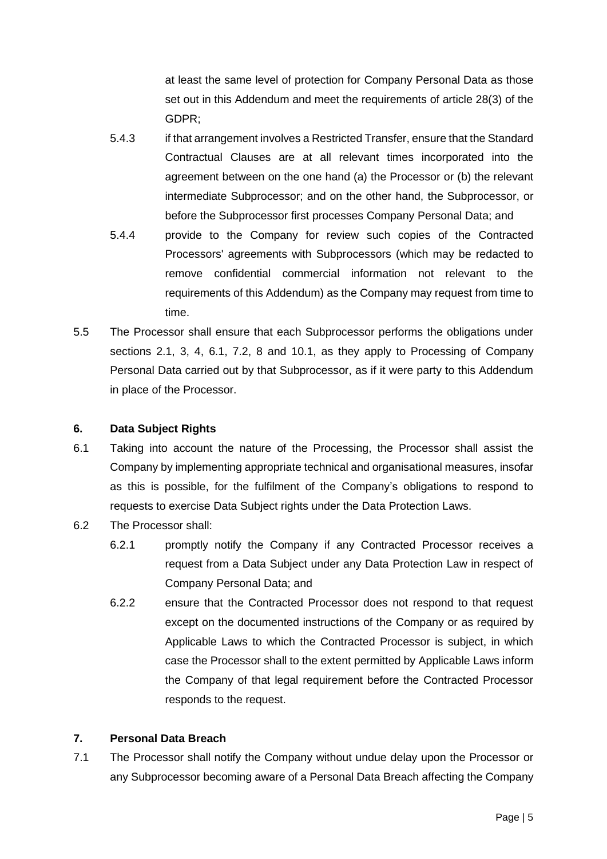at least the same level of protection for Company Personal Data as those set out in this Addendum and meet the requirements of article 28(3) of the GDPR;

- 5.4.3 if that arrangement involves a Restricted Transfer, ensure that the Standard Contractual Clauses are at all relevant times incorporated into the agreement between on the one hand (a) the Processor or (b) the relevant intermediate Subprocessor; and on the other hand, the Subprocessor, or before the Subprocessor first processes Company Personal Data; and
- 5.4.4 provide to the Company for review such copies of the Contracted Processors' agreements with Subprocessors (which may be redacted to remove confidential commercial information not relevant to the requirements of this Addendum) as the Company may request from time to time.
- 5.5 The Processor shall ensure that each Subprocessor performs the obligations under sections [2.1,](file:///C:/Users/awm/AppData/Local/Microsoft/Windows/Temporary%20Internet%20Files/Content.IE5/FGDKD7N7/example_data_protection_addendum.doc%23_Ref471379220) 3, 4, [6.1,](file:///C:/Users/awm/AppData/Local/Microsoft/Windows/Temporary%20Internet%20Files/Content.IE5/FGDKD7N7/example_data_protection_addendum.doc%23_Ref479246263) [7.2,](file:///C:/Users/awm/AppData/Local/Microsoft/Windows/Temporary%20Internet%20Files/Content.IE5/FGDKD7N7/example_data_protection_addendum.doc%23_Ref482964994) 8 and [10.1,](file:///C:/Users/awm/AppData/Local/Microsoft/Windows/Temporary%20Internet%20Files/Content.IE5/FGDKD7N7/example_data_protection_addendum.doc%23_Ref482970378) as they apply to Processing of Company Personal Data carried out by that Subprocessor, as if it were party to this Addendum in place of the Processor.

#### **6. Data Subject Rights**

- 6.1 Taking into account the nature of the Processing, the Processor shall assist the Company by implementing appropriate technical and organisational measures, insofar as this is possible, for the fulfilment of the Company's obligations to respond to requests to exercise Data Subject rights under the Data Protection Laws.
- 6.2 The Processor shall:
	- 6.2.1 promptly notify the Company if any Contracted Processor receives a request from a Data Subject under any Data Protection Law in respect of Company Personal Data; and
	- 6.2.2 ensure that the Contracted Processor does not respond to that request except on the documented instructions of the Company or as required by Applicable Laws to which the Contracted Processor is subject, in which case the Processor shall to the extent permitted by Applicable Laws inform the Company of that legal requirement before the Contracted Processor responds to the request.

## **7. Personal Data Breach**

7.1 The Processor shall notify the Company without undue delay upon the Processor or any Subprocessor becoming aware of a Personal Data Breach affecting the Company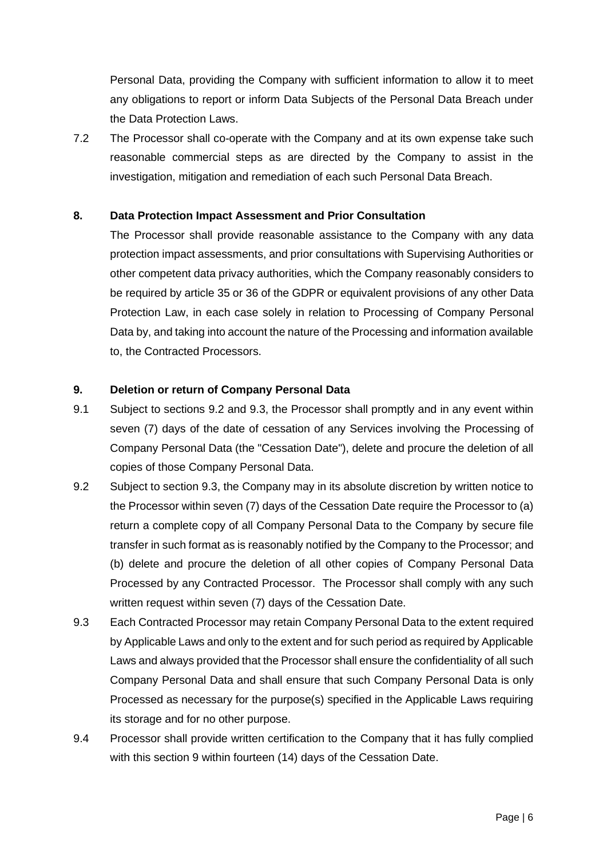Personal Data, providing the Company with sufficient information to allow it to meet any obligations to report or inform Data Subjects of the Personal Data Breach under the Data Protection Laws.

7.2 The Processor shall co-operate with the Company and at its own expense take such reasonable commercial steps as are directed by the Company to assist in the investigation, mitigation and remediation of each such Personal Data Breach.

#### **8. Data Protection Impact Assessment and Prior Consultation**

The Processor shall provide reasonable assistance to the Company with any data protection impact assessments, and prior consultations with Supervising Authorities or other competent data privacy authorities, which the Company reasonably considers to be required by article 35 or 36 of the GDPR or equivalent provisions of any other Data Protection Law, in each case solely in relation to Processing of Company Personal Data by, and taking into account the nature of the Processing and information available to, the Contracted Processors.

#### **9. Deletion or return of Company Personal Data**

- 9.1 Subject to sections [9.2](file:///C:/Users/awm/AppData/Local/Microsoft/Windows/Temporary%20Internet%20Files/Content.IE5/FGDKD7N7/example_data_protection_addendum.doc%23_Ref479850356) and [9.3,](file:///C:/Users/awm/AppData/Local/Microsoft/Windows/Temporary%20Internet%20Files/Content.IE5/FGDKD7N7/example_data_protection_addendum.doc%23_Ref475523583) the Processor shall promptly and in any event within seven (7) days of the date of cessation of any Services involving the Processing of Company Personal Data (the "Cessation Date"), delete and procure the deletion of all copies of those Company Personal Data.
- 9.2 Subject to section [9.3,](file:///C:/Users/awm/AppData/Local/Microsoft/Windows/Temporary%20Internet%20Files/Content.IE5/FGDKD7N7/example_data_protection_addendum.doc%23_Ref475523583) the Company may in its absolute discretion by written notice to the Processor within seven (7) days of the Cessation Date require the Processor to (a) return a complete copy of all Company Personal Data to the Company by secure file transfer in such format as is reasonably notified by the Company to the Processor; and (b) delete and procure the deletion of all other copies of Company Personal Data Processed by any Contracted Processor. The Processor shall comply with any such written request within seven (7) days of the Cessation Date.
- 9.3 Each Contracted Processor may retain Company Personal Data to the extent required by Applicable Laws and only to the extent and for such period as required by Applicable Laws and always provided that the Processor shall ensure the confidentiality of all such Company Personal Data and shall ensure that such Company Personal Data is only Processed as necessary for the purpose(s) specified in the Applicable Laws requiring its storage and for no other purpose.
- 9.4 Processor shall provide written certification to the Company that it has fully complied with this section 9 within fourteen (14) days of the Cessation Date.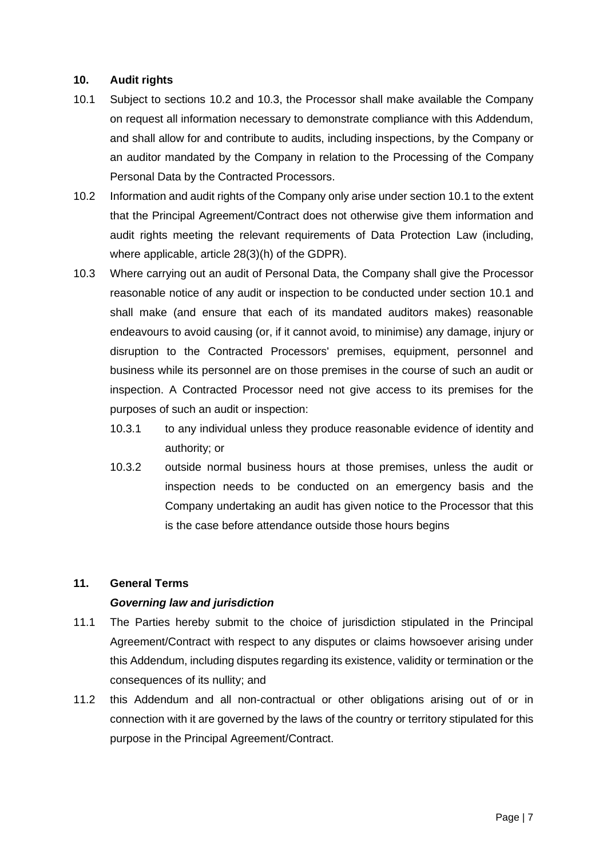#### **10. Audit rights**

- 10.1 Subject to sections [10.2](file:///C:/Users/awm/AppData/Local/Microsoft/Windows/Temporary%20Internet%20Files/Content.IE5/FGDKD7N7/example_data_protection_addendum.doc%23_Ref483162686) and 10.3, the Processor shall make available the Company on request all information necessary to demonstrate compliance with this Addendum, and shall allow for and contribute to audits, including inspections, by the Company or an auditor mandated by the Company in relation to the Processing of the Company Personal Data by the Contracted Processors.
- 10.2 Information and audit rights of the Company only arise under sectio[n 10.1](file:///C:/Users/awm/AppData/Local/Microsoft/Windows/Temporary%20Internet%20Files/Content.IE5/FGDKD7N7/example_data_protection_addendum.doc%23_Ref482970378) to the extent that the Principal Agreement/Contract does not otherwise give them information and audit rights meeting the relevant requirements of Data Protection Law (including, where applicable, article 28(3)(h) of the GDPR).
- 10.3 Where carrying out an audit of Personal Data, the Company shall give the Processor reasonable notice of any audit or inspection to be conducted under section [10.1](file:///C:/Users/awm/AppData/Local/Microsoft/Windows/Temporary%20Internet%20Files/Content.IE5/FGDKD7N7/example_data_protection_addendum.doc%23_Ref482970378) and shall make (and ensure that each of its mandated auditors makes) reasonable endeavours to avoid causing (or, if it cannot avoid, to minimise) any damage, injury or disruption to the Contracted Processors' premises, equipment, personnel and business while its personnel are on those premises in the course of such an audit or inspection. A Contracted Processor need not give access to its premises for the purposes of such an audit or inspection:
	- 10.3.1 to any individual unless they produce reasonable evidence of identity and authority; or
	- 10.3.2 outside normal business hours at those premises, unless the audit or inspection needs to be conducted on an emergency basis and the Company undertaking an audit has given notice to the Processor that this is the case before attendance outside those hours begins

#### **11. General Terms**

#### *Governing law and jurisdiction*

- 11.1 The Parties hereby submit to the choice of jurisdiction stipulated in the Principal Agreement/Contract with respect to any disputes or claims howsoever arising under this Addendum, including disputes regarding its existence, validity or termination or the consequences of its nullity; and
- 11.2 this Addendum and all non-contractual or other obligations arising out of or in connection with it are governed by the laws of the country or territory stipulated for this purpose in the Principal Agreement/Contract.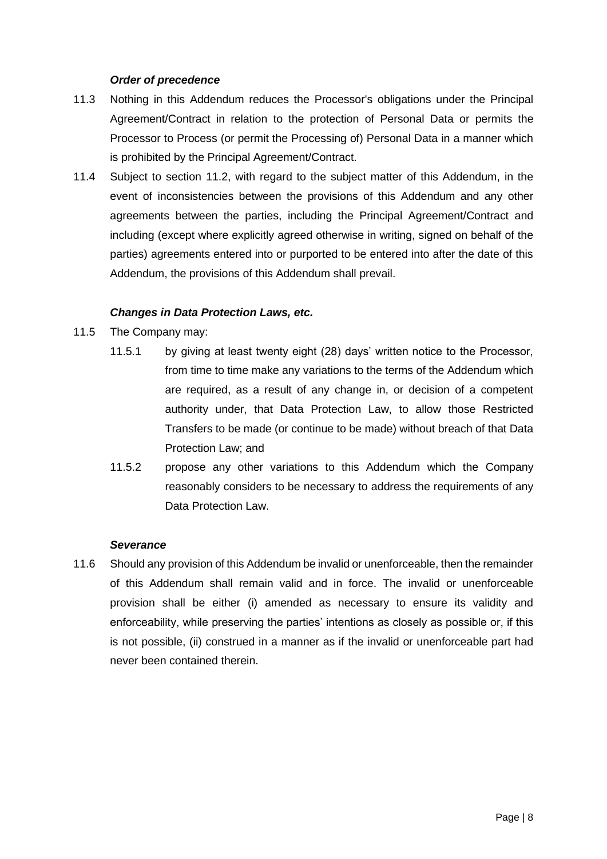#### *Order of precedence*

- 11.3 Nothing in this Addendum reduces the Processor's obligations under the Principal Agreement/Contract in relation to the protection of Personal Data or permits the Processor to Process (or permit the Processing of) Personal Data in a manner which is prohibited by the Principal Agreement/Contract.
- 11.4 Subject to section [11.2,](file:///C:/Users/awm/AppData/Local/Microsoft/Windows/Temporary%20Internet%20Files/Content.IE5/FGDKD7N7/example_data_protection_addendum.doc%23_Ref483165090) with regard to the subject matter of this Addendum, in the event of inconsistencies between the provisions of this Addendum and any other agreements between the parties, including the Principal Agreement/Contract and including (except where explicitly agreed otherwise in writing, signed on behalf of the parties) agreements entered into or purported to be entered into after the date of this Addendum, the provisions of this Addendum shall prevail.

#### *Changes in Data Protection Laws, etc.*

- 11.5 The Company may:
	- 11.5.1 by giving at least twenty eight (28) days' written notice to the Processor, from time to time make any variations to the terms of the Addendum which are required, as a result of any change in, or decision of a competent authority under, that Data Protection Law, to allow those Restricted Transfers to be made (or continue to be made) without breach of that Data Protection Law; and
	- 11.5.2 propose any other variations to this Addendum which the Company reasonably considers to be necessary to address the requirements of any Data Protection Law.

#### *Severance*

11.6 Should any provision of this Addendum be invalid or unenforceable, then the remainder of this Addendum shall remain valid and in force. The invalid or unenforceable provision shall be either (i) amended as necessary to ensure its validity and enforceability, while preserving the parties' intentions as closely as possible or, if this is not possible, (ii) construed in a manner as if the invalid or unenforceable part had never been contained therein.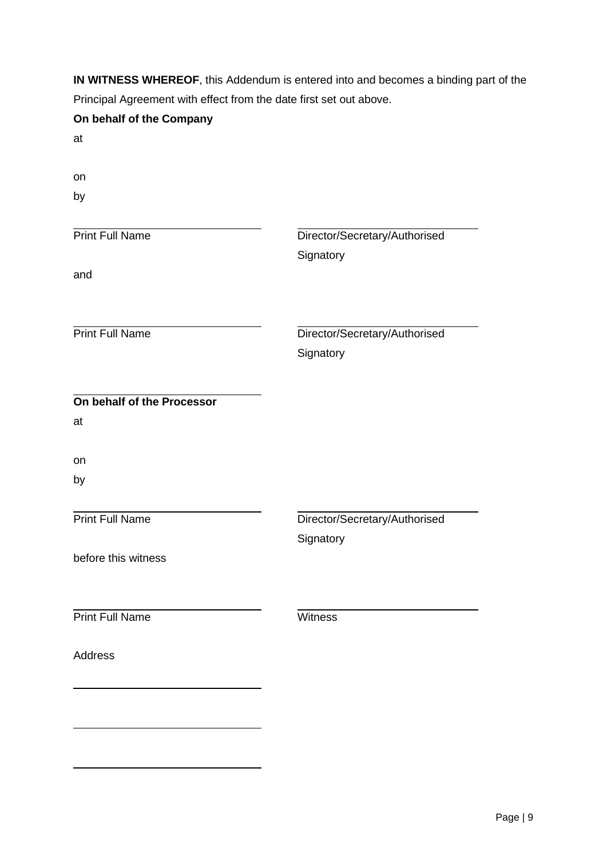**IN WITNESS WHEREOF**, this Addendum is entered into and becomes a binding part of the Principal Agreement with effect from the date first set out above.

| On behalf of the Company   |                               |
|----------------------------|-------------------------------|
| at                         |                               |
| on                         |                               |
| by                         |                               |
|                            |                               |
| <b>Print Full Name</b>     | Director/Secretary/Authorised |
|                            | Signatory                     |
| and                        |                               |
|                            |                               |
| <b>Print Full Name</b>     | Director/Secretary/Authorised |
|                            | Signatory                     |
|                            |                               |
| On behalf of the Processor |                               |
| at                         |                               |
| on                         |                               |
| by                         |                               |
|                            |                               |
| <b>Print Full Name</b>     | Director/Secretary/Authorised |
|                            | Signatory                     |
| before this witness        |                               |
|                            |                               |
| <b>Print Full Name</b>     | Witness                       |
|                            |                               |
| <b>Address</b>             |                               |
|                            |                               |
|                            |                               |
|                            |                               |
|                            |                               |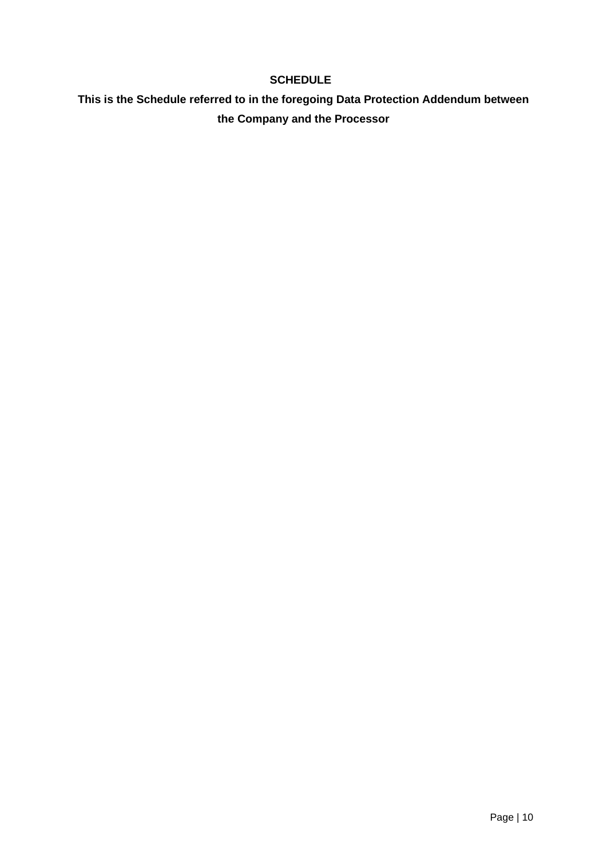## **SCHEDULE**

# **This is the Schedule referred to in the foregoing Data Protection Addendum between the Company and the Processor**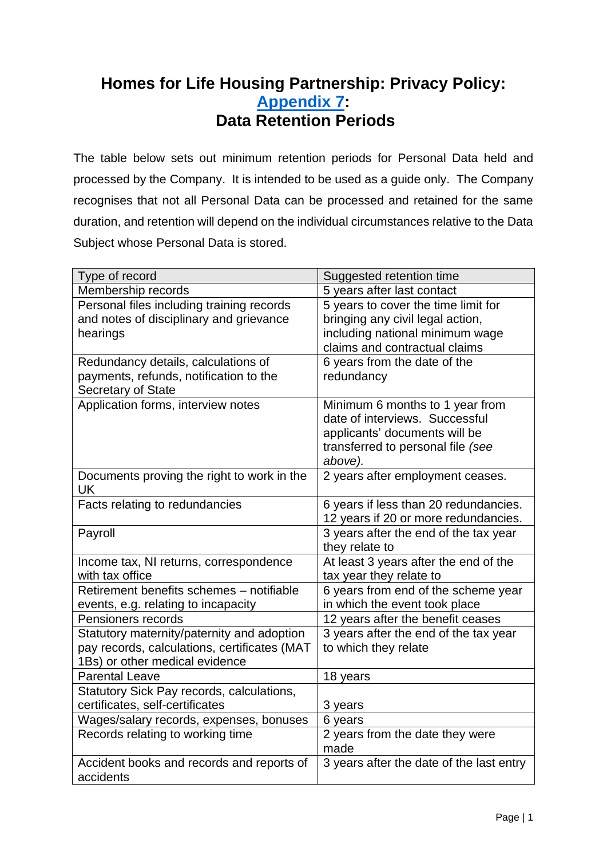# <span id="page-48-0"></span>**Homes for Life Housing Partnership: Privacy Policy: [Appendix 7:](#page-13-0) Data Retention Periods**

The table below sets out minimum retention periods for Personal Data held and processed by the Company. It is intended to be used as a guide only. The Company recognises that not all Personal Data can be processed and retained for the same duration, and retention will depend on the individual circumstances relative to the Data Subject whose Personal Data is stored.

| Type of record                               | Suggested retention time                 |
|----------------------------------------------|------------------------------------------|
| Membership records                           | 5 years after last contact               |
| Personal files including training records    | 5 years to cover the time limit for      |
| and notes of disciplinary and grievance      | bringing any civil legal action,         |
| hearings                                     | including national minimum wage          |
|                                              | claims and contractual claims            |
| Redundancy details, calculations of          | 6 years from the date of the             |
| payments, refunds, notification to the       | redundancy                               |
| Secretary of State                           |                                          |
| Application forms, interview notes           | Minimum 6 months to 1 year from          |
|                                              | date of interviews. Successful           |
|                                              | applicants' documents will be            |
|                                              | transferred to personal file (see        |
|                                              | above).                                  |
| Documents proving the right to work in the   | 2 years after employment ceases.         |
| <b>UK</b>                                    |                                          |
| Facts relating to redundancies               | 6 years if less than 20 redundancies.    |
|                                              | 12 years if 20 or more redundancies.     |
|                                              |                                          |
| Payroll                                      | 3 years after the end of the tax year    |
|                                              | they relate to                           |
| Income tax, NI returns, correspondence       | At least 3 years after the end of the    |
| with tax office                              | tax year they relate to                  |
| Retirement benefits schemes - notifiable     | 6 years from end of the scheme year      |
| events, e.g. relating to incapacity          | in which the event took place            |
| Pensioners records                           | 12 years after the benefit ceases        |
| Statutory maternity/paternity and adoption   | 3 years after the end of the tax year    |
| pay records, calculations, certificates (MAT | to which they relate                     |
| 1Bs) or other medical evidence               |                                          |
| <b>Parental Leave</b>                        | 18 years                                 |
| Statutory Sick Pay records, calculations,    |                                          |
| certificates, self-certificates              | 3 years                                  |
| Wages/salary records, expenses, bonuses      | 6 years                                  |
| Records relating to working time             | 2 years from the date they were<br>made  |
| Accident books and records and reports of    | 3 years after the date of the last entry |